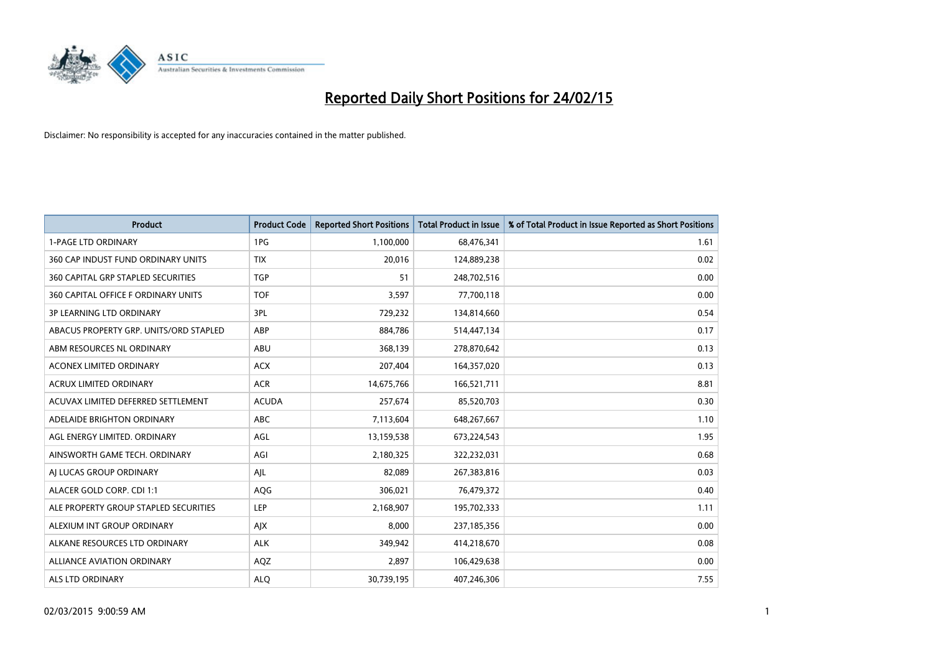

| <b>Product</b>                         | <b>Product Code</b> | <b>Reported Short Positions</b> | <b>Total Product in Issue</b> | % of Total Product in Issue Reported as Short Positions |
|----------------------------------------|---------------------|---------------------------------|-------------------------------|---------------------------------------------------------|
| <b>1-PAGE LTD ORDINARY</b>             | 1PG                 | 1,100,000                       | 68,476,341                    | 1.61                                                    |
| 360 CAP INDUST FUND ORDINARY UNITS     | <b>TIX</b>          | 20,016                          | 124,889,238                   | 0.02                                                    |
| 360 CAPITAL GRP STAPLED SECURITIES     | <b>TGP</b>          | 51                              | 248,702,516                   | 0.00                                                    |
| 360 CAPITAL OFFICE F ORDINARY UNITS    | <b>TOF</b>          | 3,597                           | 77,700,118                    | 0.00                                                    |
| <b>3P LEARNING LTD ORDINARY</b>        | 3PL                 | 729,232                         | 134,814,660                   | 0.54                                                    |
| ABACUS PROPERTY GRP. UNITS/ORD STAPLED | ABP                 | 884,786                         | 514,447,134                   | 0.17                                                    |
| ABM RESOURCES NL ORDINARY              | ABU                 | 368,139                         | 278,870,642                   | 0.13                                                    |
| ACONEX LIMITED ORDINARY                | <b>ACX</b>          | 207,404                         | 164,357,020                   | 0.13                                                    |
| <b>ACRUX LIMITED ORDINARY</b>          | <b>ACR</b>          | 14,675,766                      | 166,521,711                   | 8.81                                                    |
| ACUVAX LIMITED DEFERRED SETTLEMENT     | <b>ACUDA</b>        | 257,674                         | 85,520,703                    | 0.30                                                    |
| ADELAIDE BRIGHTON ORDINARY             | ABC                 | 7,113,604                       | 648,267,667                   | 1.10                                                    |
| AGL ENERGY LIMITED. ORDINARY           | AGL                 | 13,159,538                      | 673,224,543                   | 1.95                                                    |
| AINSWORTH GAME TECH. ORDINARY          | AGI                 | 2,180,325                       | 322,232,031                   | 0.68                                                    |
| AI LUCAS GROUP ORDINARY                | AJL                 | 82,089                          | 267,383,816                   | 0.03                                                    |
| ALACER GOLD CORP. CDI 1:1              | AQG                 | 306,021                         | 76,479,372                    | 0.40                                                    |
| ALE PROPERTY GROUP STAPLED SECURITIES  | LEP                 | 2,168,907                       | 195,702,333                   | 1.11                                                    |
| ALEXIUM INT GROUP ORDINARY             | AJX                 | 8,000                           | 237,185,356                   | 0.00                                                    |
| ALKANE RESOURCES LTD ORDINARY          | <b>ALK</b>          | 349,942                         | 414,218,670                   | 0.08                                                    |
| ALLIANCE AVIATION ORDINARY             | AQZ                 | 2,897                           | 106,429,638                   | 0.00                                                    |
| ALS LTD ORDINARY                       | <b>ALQ</b>          | 30,739,195                      | 407,246,306                   | 7.55                                                    |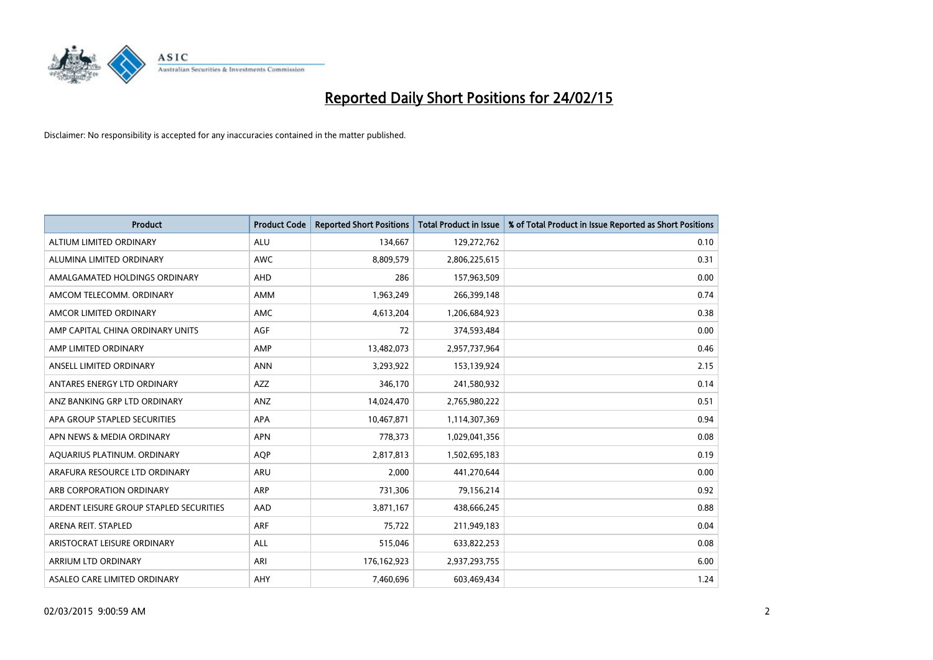

| <b>Product</b>                          | <b>Product Code</b> | <b>Reported Short Positions</b> | <b>Total Product in Issue</b> | % of Total Product in Issue Reported as Short Positions |
|-----------------------------------------|---------------------|---------------------------------|-------------------------------|---------------------------------------------------------|
| ALTIUM LIMITED ORDINARY                 | <b>ALU</b>          | 134,667                         | 129,272,762                   | 0.10                                                    |
| ALUMINA LIMITED ORDINARY                | <b>AWC</b>          | 8,809,579                       | 2,806,225,615                 | 0.31                                                    |
| AMALGAMATED HOLDINGS ORDINARY           | <b>AHD</b>          | 286                             | 157,963,509                   | 0.00                                                    |
| AMCOM TELECOMM. ORDINARY                | AMM                 | 1,963,249                       | 266,399,148                   | 0.74                                                    |
| AMCOR LIMITED ORDINARY                  | AMC                 | 4,613,204                       | 1,206,684,923                 | 0.38                                                    |
| AMP CAPITAL CHINA ORDINARY UNITS        | <b>AGF</b>          | 72                              | 374,593,484                   | 0.00                                                    |
| AMP LIMITED ORDINARY                    | AMP                 | 13,482,073                      | 2,957,737,964                 | 0.46                                                    |
| ANSELL LIMITED ORDINARY                 | <b>ANN</b>          | 3,293,922                       | 153,139,924                   | 2.15                                                    |
| ANTARES ENERGY LTD ORDINARY             | <b>AZZ</b>          | 346,170                         | 241,580,932                   | 0.14                                                    |
| ANZ BANKING GRP LTD ORDINARY            | ANZ                 | 14,024,470                      | 2,765,980,222                 | 0.51                                                    |
| APA GROUP STAPLED SECURITIES            | APA                 | 10,467,871                      | 1,114,307,369                 | 0.94                                                    |
| APN NEWS & MEDIA ORDINARY               | <b>APN</b>          | 778,373                         | 1,029,041,356                 | 0.08                                                    |
| AQUARIUS PLATINUM. ORDINARY             | <b>AOP</b>          | 2,817,813                       | 1,502,695,183                 | 0.19                                                    |
| ARAFURA RESOURCE LTD ORDINARY           | ARU                 | 2,000                           | 441,270,644                   | 0.00                                                    |
| ARB CORPORATION ORDINARY                | ARP                 | 731,306                         | 79,156,214                    | 0.92                                                    |
| ARDENT LEISURE GROUP STAPLED SECURITIES | AAD                 | 3,871,167                       | 438,666,245                   | 0.88                                                    |
| ARENA REIT. STAPLED                     | ARF                 | 75,722                          | 211,949,183                   | 0.04                                                    |
| ARISTOCRAT LEISURE ORDINARY             | <b>ALL</b>          | 515,046                         | 633,822,253                   | 0.08                                                    |
| <b>ARRIUM LTD ORDINARY</b>              | ARI                 | 176, 162, 923                   | 2,937,293,755                 | 6.00                                                    |
| ASALEO CARE LIMITED ORDINARY            | AHY                 | 7,460,696                       | 603,469,434                   | 1.24                                                    |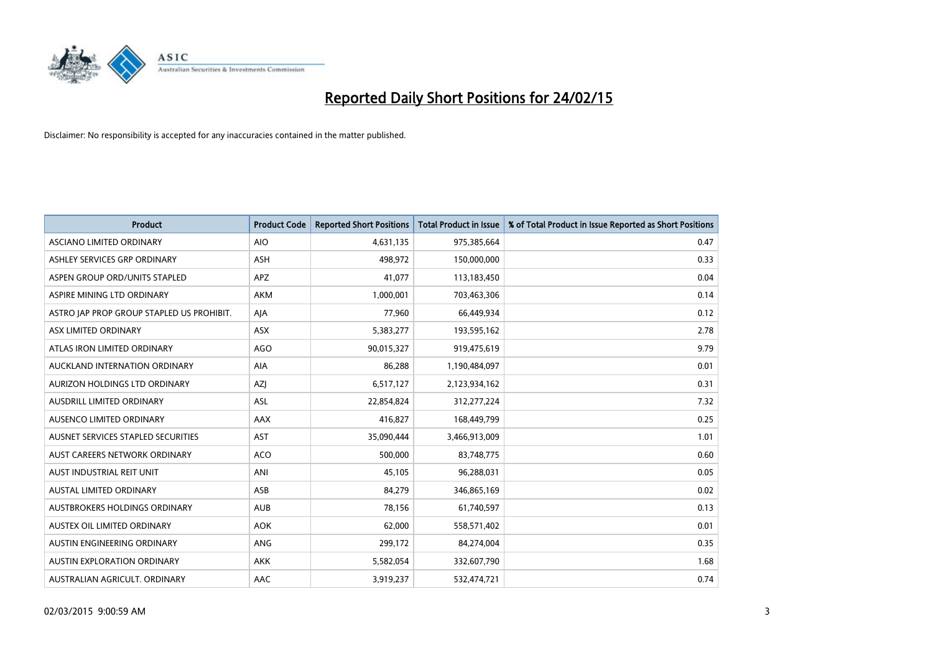

| <b>Product</b>                            | <b>Product Code</b> | <b>Reported Short Positions</b> | <b>Total Product in Issue</b> | % of Total Product in Issue Reported as Short Positions |
|-------------------------------------------|---------------------|---------------------------------|-------------------------------|---------------------------------------------------------|
| ASCIANO LIMITED ORDINARY                  | <b>AIO</b>          | 4,631,135                       | 975,385,664                   | 0.47                                                    |
| ASHLEY SERVICES GRP ORDINARY              | <b>ASH</b>          | 498,972                         | 150,000,000                   | 0.33                                                    |
| ASPEN GROUP ORD/UNITS STAPLED             | <b>APZ</b>          | 41,077                          | 113,183,450                   | 0.04                                                    |
| ASPIRE MINING LTD ORDINARY                | <b>AKM</b>          | 1,000,001                       | 703,463,306                   | 0.14                                                    |
| ASTRO JAP PROP GROUP STAPLED US PROHIBIT. | AJA                 | 77,960                          | 66,449,934                    | 0.12                                                    |
| ASX LIMITED ORDINARY                      | ASX                 | 5,383,277                       | 193,595,162                   | 2.78                                                    |
| ATLAS IRON LIMITED ORDINARY               | <b>AGO</b>          | 90,015,327                      | 919,475,619                   | 9.79                                                    |
| AUCKLAND INTERNATION ORDINARY             | <b>AIA</b>          | 86,288                          | 1,190,484,097                 | 0.01                                                    |
| AURIZON HOLDINGS LTD ORDINARY             | <b>AZI</b>          | 6,517,127                       | 2,123,934,162                 | 0.31                                                    |
| AUSDRILL LIMITED ORDINARY                 | ASL                 | 22,854,824                      | 312,277,224                   | 7.32                                                    |
| AUSENCO LIMITED ORDINARY                  | AAX                 | 416,827                         | 168,449,799                   | 0.25                                                    |
| AUSNET SERVICES STAPLED SECURITIES        | <b>AST</b>          | 35,090,444                      | 3,466,913,009                 | 1.01                                                    |
| AUST CAREERS NETWORK ORDINARY             | <b>ACO</b>          | 500,000                         | 83,748,775                    | 0.60                                                    |
| AUST INDUSTRIAL REIT UNIT                 | ANI                 | 45,105                          | 96,288,031                    | 0.05                                                    |
| AUSTAL LIMITED ORDINARY                   | ASB                 | 84,279                          | 346,865,169                   | 0.02                                                    |
| AUSTBROKERS HOLDINGS ORDINARY             | <b>AUB</b>          | 78,156                          | 61,740,597                    | 0.13                                                    |
| AUSTEX OIL LIMITED ORDINARY               | <b>AOK</b>          | 62,000                          | 558,571,402                   | 0.01                                                    |
| AUSTIN ENGINEERING ORDINARY               | ANG                 | 299,172                         | 84,274,004                    | 0.35                                                    |
| <b>AUSTIN EXPLORATION ORDINARY</b>        | <b>AKK</b>          | 5,582,054                       | 332,607,790                   | 1.68                                                    |
| AUSTRALIAN AGRICULT. ORDINARY             | AAC                 | 3,919,237                       | 532,474,721                   | 0.74                                                    |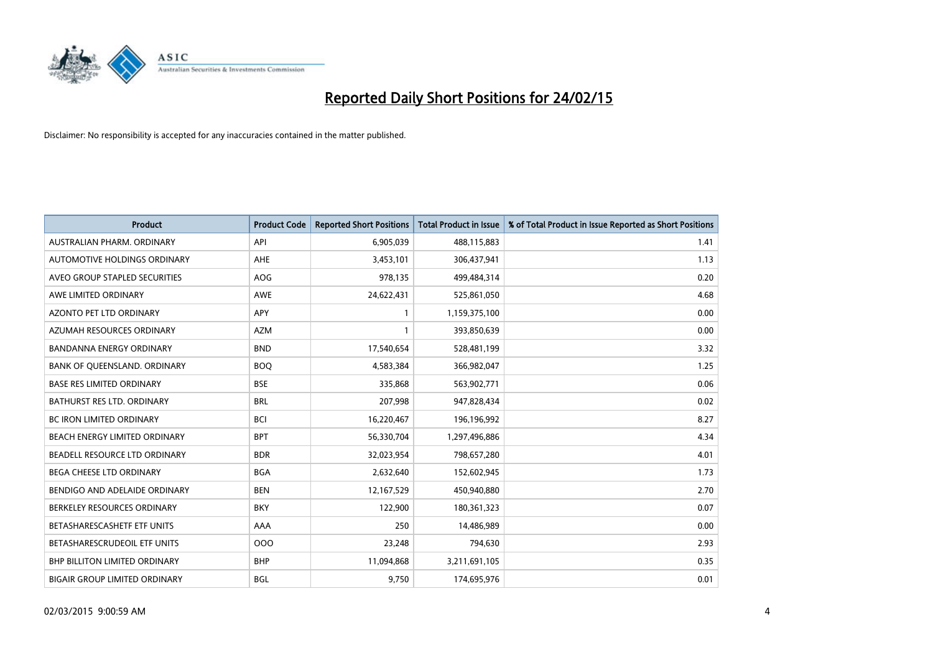

| <b>Product</b>                       | <b>Product Code</b> | <b>Reported Short Positions</b> | <b>Total Product in Issue</b> | % of Total Product in Issue Reported as Short Positions |
|--------------------------------------|---------------------|---------------------------------|-------------------------------|---------------------------------------------------------|
| AUSTRALIAN PHARM, ORDINARY           | API                 | 6,905,039                       | 488,115,883                   | 1.41                                                    |
| AUTOMOTIVE HOLDINGS ORDINARY         | AHE                 | 3,453,101                       | 306,437,941                   | 1.13                                                    |
| AVEO GROUP STAPLED SECURITIES        | <b>AOG</b>          | 978,135                         | 499,484,314                   | 0.20                                                    |
| AWE LIMITED ORDINARY                 | <b>AWE</b>          | 24,622,431                      | 525,861,050                   | 4.68                                                    |
| <b>AZONTO PET LTD ORDINARY</b>       | <b>APY</b>          | 1                               | 1,159,375,100                 | 0.00                                                    |
| AZUMAH RESOURCES ORDINARY            | <b>AZM</b>          | 1                               | 393,850,639                   | 0.00                                                    |
| <b>BANDANNA ENERGY ORDINARY</b>      | <b>BND</b>          | 17,540,654                      | 528,481,199                   | 3.32                                                    |
| BANK OF QUEENSLAND. ORDINARY         | <b>BOQ</b>          | 4,583,384                       | 366,982,047                   | 1.25                                                    |
| <b>BASE RES LIMITED ORDINARY</b>     | <b>BSE</b>          | 335,868                         | 563,902,771                   | 0.06                                                    |
| <b>BATHURST RES LTD. ORDINARY</b>    | <b>BRL</b>          | 207,998                         | 947,828,434                   | 0.02                                                    |
| BC IRON LIMITED ORDINARY             | <b>BCI</b>          | 16,220,467                      | 196,196,992                   | 8.27                                                    |
| BEACH ENERGY LIMITED ORDINARY        | <b>BPT</b>          | 56,330,704                      | 1,297,496,886                 | 4.34                                                    |
| BEADELL RESOURCE LTD ORDINARY        | <b>BDR</b>          | 32,023,954                      | 798,657,280                   | 4.01                                                    |
| <b>BEGA CHEESE LTD ORDINARY</b>      | <b>BGA</b>          | 2,632,640                       | 152,602,945                   | 1.73                                                    |
| BENDIGO AND ADELAIDE ORDINARY        | <b>BEN</b>          | 12,167,529                      | 450,940,880                   | 2.70                                                    |
| BERKELEY RESOURCES ORDINARY          | <b>BKY</b>          | 122,900                         | 180,361,323                   | 0.07                                                    |
| BETASHARESCASHETF ETF UNITS          | AAA                 | 250                             | 14,486,989                    | 0.00                                                    |
| BETASHARESCRUDEOIL ETF UNITS         | 000                 | 23,248                          | 794,630                       | 2.93                                                    |
| <b>BHP BILLITON LIMITED ORDINARY</b> | <b>BHP</b>          | 11,094,868                      | 3,211,691,105                 | 0.35                                                    |
| <b>BIGAIR GROUP LIMITED ORDINARY</b> | <b>BGL</b>          | 9,750                           | 174,695,976                   | 0.01                                                    |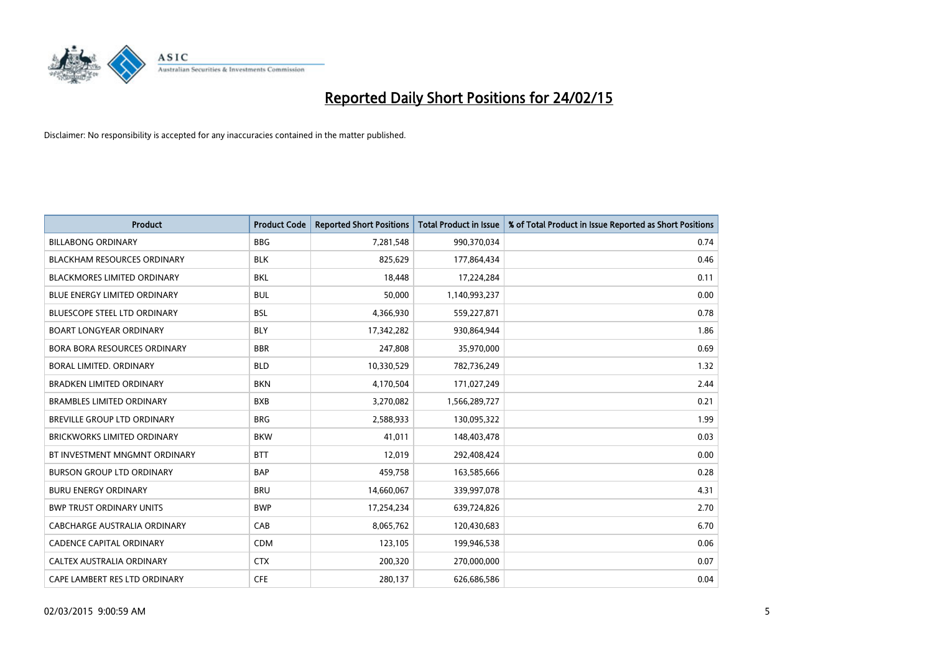

| <b>Product</b>                      | <b>Product Code</b> | <b>Reported Short Positions</b> | <b>Total Product in Issue</b> | % of Total Product in Issue Reported as Short Positions |
|-------------------------------------|---------------------|---------------------------------|-------------------------------|---------------------------------------------------------|
| <b>BILLABONG ORDINARY</b>           | <b>BBG</b>          | 7,281,548                       | 990,370,034                   | 0.74                                                    |
| <b>BLACKHAM RESOURCES ORDINARY</b>  | <b>BLK</b>          | 825,629                         | 177,864,434                   | 0.46                                                    |
| <b>BLACKMORES LIMITED ORDINARY</b>  | <b>BKL</b>          | 18,448                          | 17,224,284                    | 0.11                                                    |
| BLUE ENERGY LIMITED ORDINARY        | <b>BUL</b>          | 50,000                          | 1,140,993,237                 | 0.00                                                    |
| <b>BLUESCOPE STEEL LTD ORDINARY</b> | <b>BSL</b>          | 4,366,930                       | 559,227,871                   | 0.78                                                    |
| <b>BOART LONGYEAR ORDINARY</b>      | <b>BLY</b>          | 17,342,282                      | 930,864,944                   | 1.86                                                    |
| <b>BORA BORA RESOURCES ORDINARY</b> | <b>BBR</b>          | 247,808                         | 35,970,000                    | 0.69                                                    |
| <b>BORAL LIMITED, ORDINARY</b>      | <b>BLD</b>          | 10,330,529                      | 782,736,249                   | 1.32                                                    |
| <b>BRADKEN LIMITED ORDINARY</b>     | <b>BKN</b>          | 4,170,504                       | 171,027,249                   | 2.44                                                    |
| <b>BRAMBLES LIMITED ORDINARY</b>    | <b>BXB</b>          | 3,270,082                       | 1,566,289,727                 | 0.21                                                    |
| BREVILLE GROUP LTD ORDINARY         | <b>BRG</b>          | 2,588,933                       | 130,095,322                   | 1.99                                                    |
| <b>BRICKWORKS LIMITED ORDINARY</b>  | <b>BKW</b>          | 41,011                          | 148,403,478                   | 0.03                                                    |
| BT INVESTMENT MNGMNT ORDINARY       | <b>BTT</b>          | 12,019                          | 292,408,424                   | 0.00                                                    |
| <b>BURSON GROUP LTD ORDINARY</b>    | <b>BAP</b>          | 459,758                         | 163,585,666                   | 0.28                                                    |
| <b>BURU ENERGY ORDINARY</b>         | <b>BRU</b>          | 14,660,067                      | 339,997,078                   | 4.31                                                    |
| <b>BWP TRUST ORDINARY UNITS</b>     | <b>BWP</b>          | 17,254,234                      | 639,724,826                   | 2.70                                                    |
| CABCHARGE AUSTRALIA ORDINARY        | CAB                 | 8,065,762                       | 120,430,683                   | 6.70                                                    |
| <b>CADENCE CAPITAL ORDINARY</b>     | <b>CDM</b>          | 123,105                         | 199,946,538                   | 0.06                                                    |
| CALTEX AUSTRALIA ORDINARY           | <b>CTX</b>          | 200,320                         | 270,000,000                   | 0.07                                                    |
| CAPE LAMBERT RES LTD ORDINARY       | <b>CFE</b>          | 280,137                         | 626,686,586                   | 0.04                                                    |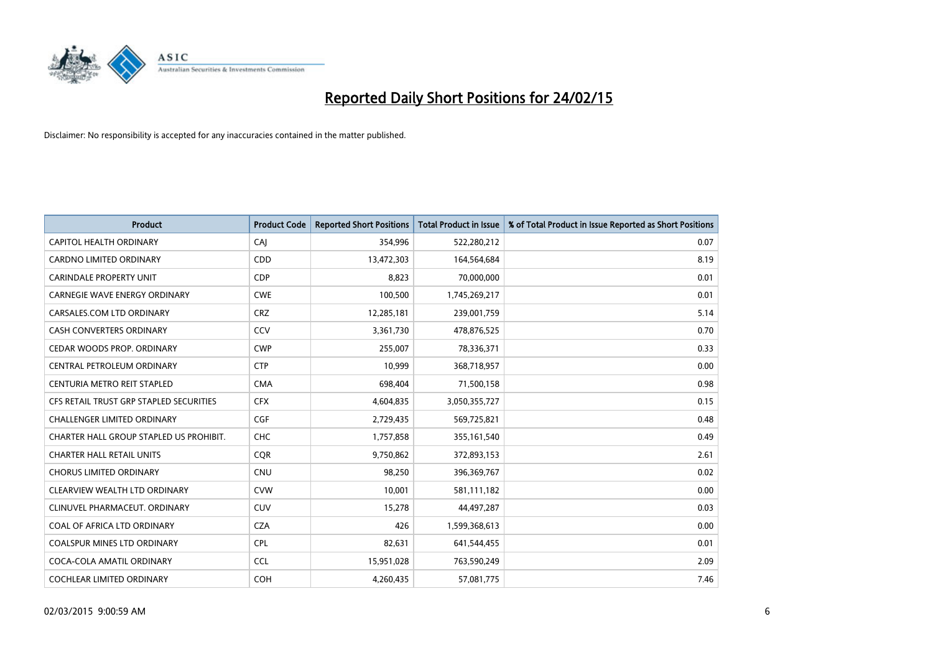

| <b>Product</b>                          | <b>Product Code</b> | <b>Reported Short Positions</b> | <b>Total Product in Issue</b> | % of Total Product in Issue Reported as Short Positions |
|-----------------------------------------|---------------------|---------------------------------|-------------------------------|---------------------------------------------------------|
| <b>CAPITOL HEALTH ORDINARY</b>          | CAI                 | 354,996                         | 522,280,212                   | 0.07                                                    |
| CARDNO LIMITED ORDINARY                 | CDD                 | 13,472,303                      | 164,564,684                   | 8.19                                                    |
| <b>CARINDALE PROPERTY UNIT</b>          | <b>CDP</b>          | 8,823                           | 70,000,000                    | 0.01                                                    |
| <b>CARNEGIE WAVE ENERGY ORDINARY</b>    | <b>CWE</b>          | 100,500                         | 1,745,269,217                 | 0.01                                                    |
| CARSALES.COM LTD ORDINARY               | <b>CRZ</b>          | 12,285,181                      | 239,001,759                   | 5.14                                                    |
| <b>CASH CONVERTERS ORDINARY</b>         | CCV                 | 3,361,730                       | 478,876,525                   | 0.70                                                    |
| CEDAR WOODS PROP. ORDINARY              | <b>CWP</b>          | 255,007                         | 78,336,371                    | 0.33                                                    |
| CENTRAL PETROLEUM ORDINARY              | <b>CTP</b>          | 10,999                          | 368,718,957                   | 0.00                                                    |
| CENTURIA METRO REIT STAPLED             | <b>CMA</b>          | 698,404                         | 71,500,158                    | 0.98                                                    |
| CFS RETAIL TRUST GRP STAPLED SECURITIES | <b>CFX</b>          | 4,604,835                       | 3,050,355,727                 | 0.15                                                    |
| <b>CHALLENGER LIMITED ORDINARY</b>      | <b>CGF</b>          | 2,729,435                       | 569,725,821                   | 0.48                                                    |
| CHARTER HALL GROUP STAPLED US PROHIBIT. | <b>CHC</b>          | 1,757,858                       | 355,161,540                   | 0.49                                                    |
| <b>CHARTER HALL RETAIL UNITS</b>        | <b>CQR</b>          | 9,750,862                       | 372,893,153                   | 2.61                                                    |
| <b>CHORUS LIMITED ORDINARY</b>          | <b>CNU</b>          | 98,250                          | 396,369,767                   | 0.02                                                    |
| CLEARVIEW WEALTH LTD ORDINARY           | <b>CVW</b>          | 10,001                          | 581,111,182                   | 0.00                                                    |
| CLINUVEL PHARMACEUT, ORDINARY           | <b>CUV</b>          | 15,278                          | 44,497,287                    | 0.03                                                    |
| COAL OF AFRICA LTD ORDINARY             | <b>CZA</b>          | 426                             | 1,599,368,613                 | 0.00                                                    |
| <b>COALSPUR MINES LTD ORDINARY</b>      | <b>CPL</b>          | 82,631                          | 641,544,455                   | 0.01                                                    |
| COCA-COLA AMATIL ORDINARY               | <b>CCL</b>          | 15,951,028                      | 763,590,249                   | 2.09                                                    |
| <b>COCHLEAR LIMITED ORDINARY</b>        | <b>COH</b>          | 4,260,435                       | 57,081,775                    | 7.46                                                    |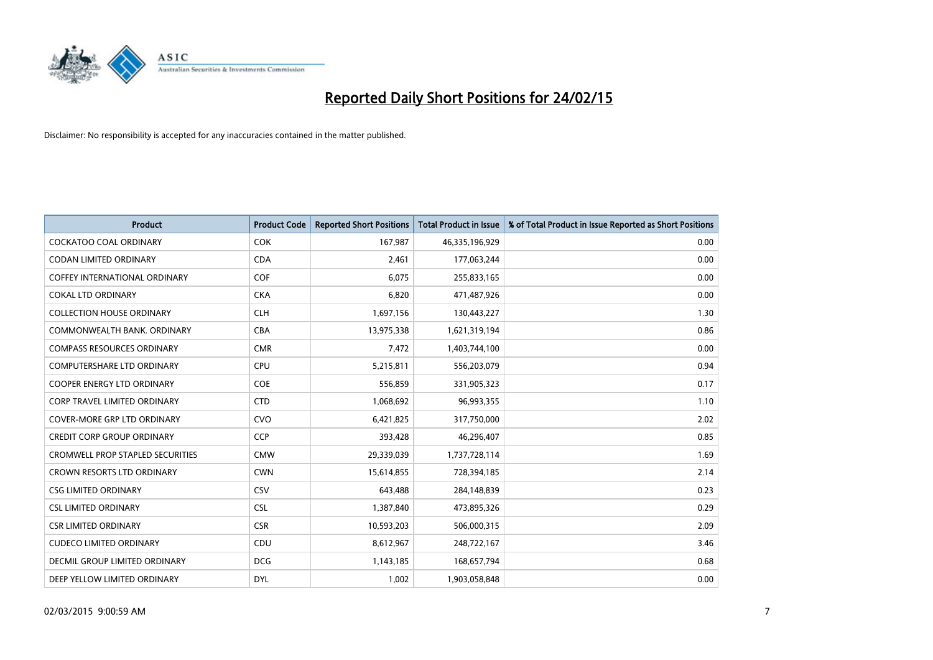

| <b>Product</b>                          | <b>Product Code</b> | <b>Reported Short Positions</b> | <b>Total Product in Issue</b> | % of Total Product in Issue Reported as Short Positions |
|-----------------------------------------|---------------------|---------------------------------|-------------------------------|---------------------------------------------------------|
| <b>COCKATOO COAL ORDINARY</b>           | <b>COK</b>          | 167,987                         | 46,335,196,929                | 0.00                                                    |
| CODAN LIMITED ORDINARY                  | <b>CDA</b>          | 2,461                           | 177,063,244                   | 0.00                                                    |
| <b>COFFEY INTERNATIONAL ORDINARY</b>    | <b>COF</b>          | 6,075                           | 255,833,165                   | 0.00                                                    |
| <b>COKAL LTD ORDINARY</b>               | <b>CKA</b>          | 6,820                           | 471,487,926                   | 0.00                                                    |
| <b>COLLECTION HOUSE ORDINARY</b>        | <b>CLH</b>          | 1,697,156                       | 130,443,227                   | 1.30                                                    |
| COMMONWEALTH BANK, ORDINARY             | <b>CBA</b>          | 13,975,338                      | 1,621,319,194                 | 0.86                                                    |
| <b>COMPASS RESOURCES ORDINARY</b>       | <b>CMR</b>          | 7,472                           | 1,403,744,100                 | 0.00                                                    |
| COMPUTERSHARE LTD ORDINARY              | <b>CPU</b>          | 5,215,811                       | 556,203,079                   | 0.94                                                    |
| <b>COOPER ENERGY LTD ORDINARY</b>       | <b>COE</b>          | 556,859                         | 331,905,323                   | 0.17                                                    |
| <b>CORP TRAVEL LIMITED ORDINARY</b>     | <b>CTD</b>          | 1,068,692                       | 96,993,355                    | 1.10                                                    |
| COVER-MORE GRP LTD ORDINARY             | <b>CVO</b>          | 6,421,825                       | 317,750,000                   | 2.02                                                    |
| <b>CREDIT CORP GROUP ORDINARY</b>       | <b>CCP</b>          | 393,428                         | 46,296,407                    | 0.85                                                    |
| <b>CROMWELL PROP STAPLED SECURITIES</b> | <b>CMW</b>          | 29,339,039                      | 1,737,728,114                 | 1.69                                                    |
| <b>CROWN RESORTS LTD ORDINARY</b>       | <b>CWN</b>          | 15,614,855                      | 728,394,185                   | 2.14                                                    |
| <b>CSG LIMITED ORDINARY</b>             | CSV                 | 643,488                         | 284,148,839                   | 0.23                                                    |
| <b>CSL LIMITED ORDINARY</b>             | <b>CSL</b>          | 1,387,840                       | 473,895,326                   | 0.29                                                    |
| <b>CSR LIMITED ORDINARY</b>             | <b>CSR</b>          | 10,593,203                      | 506,000,315                   | 2.09                                                    |
| <b>CUDECO LIMITED ORDINARY</b>          | CDU                 | 8,612,967                       | 248,722,167                   | 3.46                                                    |
| DECMIL GROUP LIMITED ORDINARY           | <b>DCG</b>          | 1,143,185                       | 168,657,794                   | 0.68                                                    |
| DEEP YELLOW LIMITED ORDINARY            | <b>DYL</b>          | 1,002                           | 1,903,058,848                 | 0.00                                                    |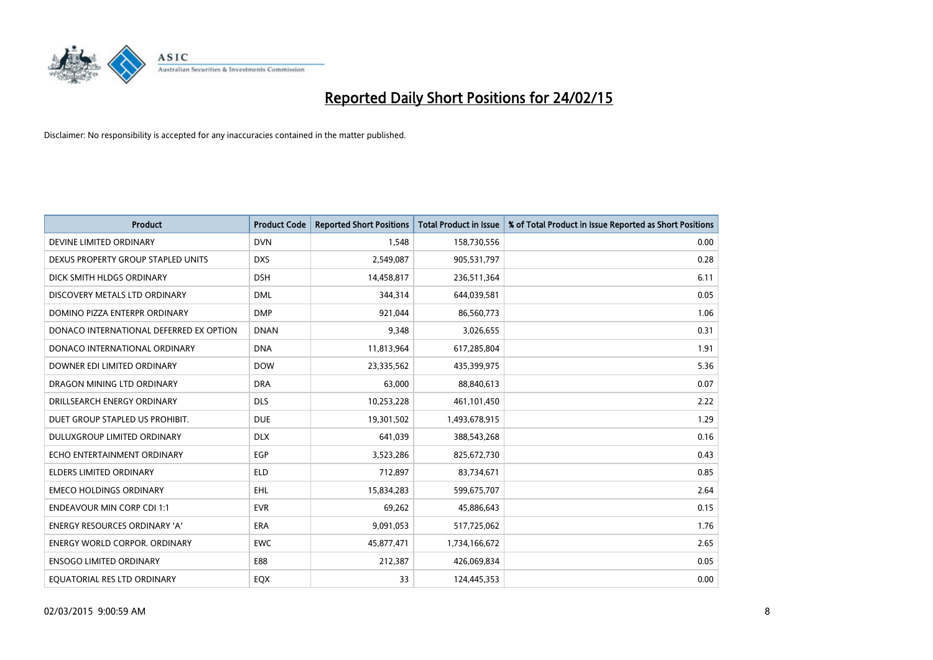

| <b>Product</b>                          | <b>Product Code</b> | <b>Reported Short Positions</b> | <b>Total Product in Issue</b> | % of Total Product in Issue Reported as Short Positions |
|-----------------------------------------|---------------------|---------------------------------|-------------------------------|---------------------------------------------------------|
| DEVINE LIMITED ORDINARY                 | <b>DVN</b>          | 1,548                           | 158,730,556                   | 0.00                                                    |
| DEXUS PROPERTY GROUP STAPLED UNITS      | <b>DXS</b>          | 2,549,087                       | 905,531,797                   | 0.28                                                    |
| DICK SMITH HLDGS ORDINARY               | <b>DSH</b>          | 14,458,817                      | 236,511,364                   | 6.11                                                    |
| DISCOVERY METALS LTD ORDINARY           | <b>DML</b>          | 344,314                         | 644,039,581                   | 0.05                                                    |
| DOMINO PIZZA ENTERPR ORDINARY           | <b>DMP</b>          | 921,044                         | 86,560,773                    | 1.06                                                    |
| DONACO INTERNATIONAL DEFERRED EX OPTION | <b>DNAN</b>         | 9,348                           | 3,026,655                     | 0.31                                                    |
| DONACO INTERNATIONAL ORDINARY           | <b>DNA</b>          | 11,813,964                      | 617,285,804                   | 1.91                                                    |
| DOWNER EDI LIMITED ORDINARY             | <b>DOW</b>          | 23,335,562                      | 435,399,975                   | 5.36                                                    |
| DRAGON MINING LTD ORDINARY              | <b>DRA</b>          | 63.000                          | 88,840,613                    | 0.07                                                    |
| DRILLSEARCH ENERGY ORDINARY             | <b>DLS</b>          | 10,253,228                      | 461,101,450                   | 2.22                                                    |
| DUET GROUP STAPLED US PROHIBIT.         | <b>DUE</b>          | 19,301,502                      | 1,493,678,915                 | 1.29                                                    |
| DULUXGROUP LIMITED ORDINARY             | <b>DLX</b>          | 641,039                         | 388,543,268                   | 0.16                                                    |
| ECHO ENTERTAINMENT ORDINARY             | <b>EGP</b>          | 3,523,286                       | 825,672,730                   | 0.43                                                    |
| <b>ELDERS LIMITED ORDINARY</b>          | ELD                 | 712,897                         | 83,734,671                    | 0.85                                                    |
| <b>EMECO HOLDINGS ORDINARY</b>          | EHL                 | 15,834,283                      | 599,675,707                   | 2.64                                                    |
| <b>ENDEAVOUR MIN CORP CDI 1:1</b>       | <b>EVR</b>          | 69,262                          | 45,886,643                    | 0.15                                                    |
| <b>ENERGY RESOURCES ORDINARY 'A'</b>    | <b>ERA</b>          | 9,091,053                       | 517,725,062                   | 1.76                                                    |
| <b>ENERGY WORLD CORPOR. ORDINARY</b>    | <b>EWC</b>          | 45,877,471                      | 1,734,166,672                 | 2.65                                                    |
| <b>ENSOGO LIMITED ORDINARY</b>          | E88                 | 212,387                         | 426,069,834                   | 0.05                                                    |
| EQUATORIAL RES LTD ORDINARY             | EQX                 | 33                              | 124,445,353                   | 0.00                                                    |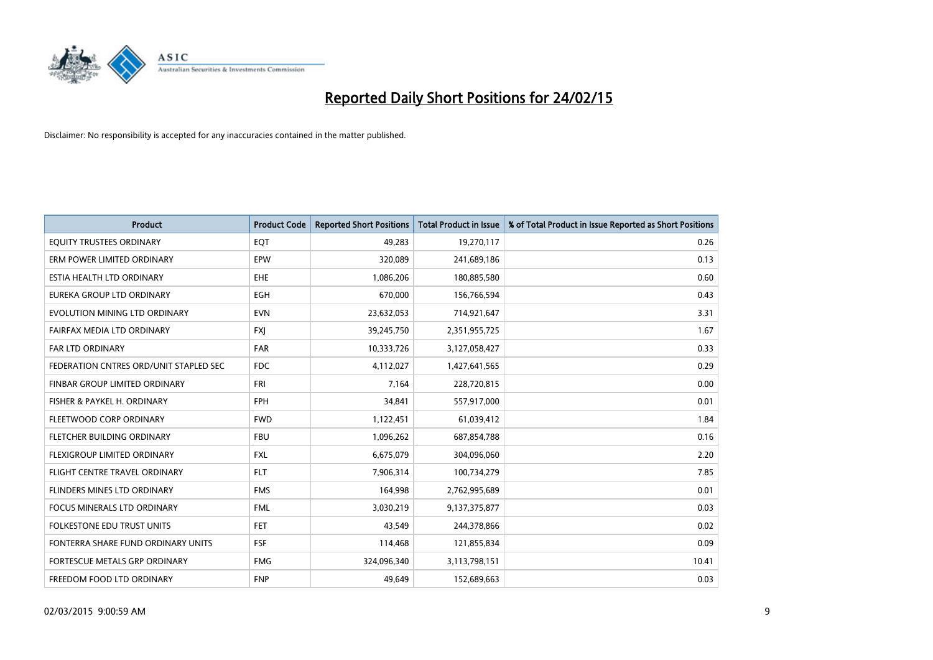

| <b>Product</b>                         | <b>Product Code</b> | <b>Reported Short Positions</b> | <b>Total Product in Issue</b> | % of Total Product in Issue Reported as Short Positions |
|----------------------------------------|---------------------|---------------------------------|-------------------------------|---------------------------------------------------------|
| EQUITY TRUSTEES ORDINARY               | EQT                 | 49,283                          | 19,270,117                    | 0.26                                                    |
| ERM POWER LIMITED ORDINARY             | EPW                 | 320,089                         | 241,689,186                   | 0.13                                                    |
| ESTIA HEALTH LTD ORDINARY              | EHE                 | 1,086,206                       | 180,885,580                   | 0.60                                                    |
| EUREKA GROUP LTD ORDINARY              | <b>EGH</b>          | 670,000                         | 156,766,594                   | 0.43                                                    |
| EVOLUTION MINING LTD ORDINARY          | <b>EVN</b>          | 23,632,053                      | 714,921,647                   | 3.31                                                    |
| FAIRFAX MEDIA LTD ORDINARY             | <b>FXJ</b>          | 39,245,750                      | 2,351,955,725                 | 1.67                                                    |
| FAR LTD ORDINARY                       | FAR                 | 10,333,726                      | 3,127,058,427                 | 0.33                                                    |
| FEDERATION CNTRES ORD/UNIT STAPLED SEC | <b>FDC</b>          | 4,112,027                       | 1,427,641,565                 | 0.29                                                    |
| FINBAR GROUP LIMITED ORDINARY          | <b>FRI</b>          | 7,164                           | 228,720,815                   | 0.00                                                    |
| FISHER & PAYKEL H. ORDINARY            | <b>FPH</b>          | 34,841                          | 557,917,000                   | 0.01                                                    |
| FLEETWOOD CORP ORDINARY                | <b>FWD</b>          | 1,122,451                       | 61,039,412                    | 1.84                                                    |
| FLETCHER BUILDING ORDINARY             | <b>FBU</b>          | 1,096,262                       | 687,854,788                   | 0.16                                                    |
| FLEXIGROUP LIMITED ORDINARY            | <b>FXL</b>          | 6,675,079                       | 304,096,060                   | 2.20                                                    |
| FLIGHT CENTRE TRAVEL ORDINARY          | <b>FLT</b>          | 7,906,314                       | 100,734,279                   | 7.85                                                    |
| FLINDERS MINES LTD ORDINARY            | <b>FMS</b>          | 164,998                         | 2,762,995,689                 | 0.01                                                    |
| <b>FOCUS MINERALS LTD ORDINARY</b>     | <b>FML</b>          | 3,030,219                       | 9,137,375,877                 | 0.03                                                    |
| <b>FOLKESTONE EDU TRUST UNITS</b>      | <b>FET</b>          | 43,549                          | 244,378,866                   | 0.02                                                    |
| FONTERRA SHARE FUND ORDINARY UNITS     | <b>FSF</b>          | 114,468                         | 121,855,834                   | 0.09                                                    |
| FORTESCUE METALS GRP ORDINARY          | <b>FMG</b>          | 324,096,340                     | 3,113,798,151                 | 10.41                                                   |
| FREEDOM FOOD LTD ORDINARY              | <b>FNP</b>          | 49,649                          | 152,689,663                   | 0.03                                                    |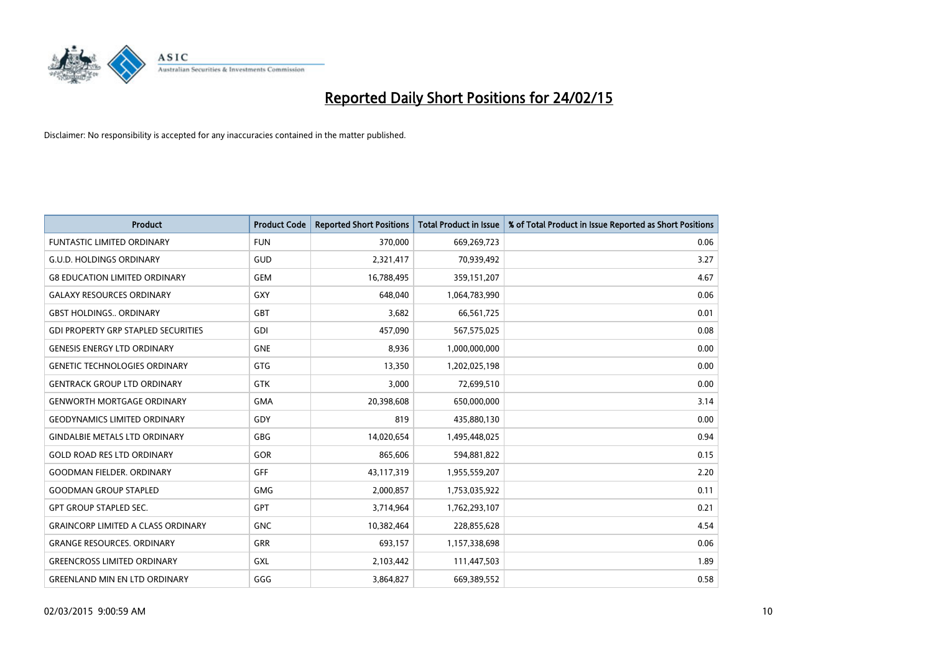

| <b>Product</b>                             | <b>Product Code</b> | <b>Reported Short Positions</b> | <b>Total Product in Issue</b> | % of Total Product in Issue Reported as Short Positions |
|--------------------------------------------|---------------------|---------------------------------|-------------------------------|---------------------------------------------------------|
| <b>FUNTASTIC LIMITED ORDINARY</b>          | <b>FUN</b>          | 370,000                         | 669,269,723                   | 0.06                                                    |
| <b>G.U.D. HOLDINGS ORDINARY</b>            | GUD                 | 2,321,417                       | 70,939,492                    | 3.27                                                    |
| <b>G8 EDUCATION LIMITED ORDINARY</b>       | <b>GEM</b>          | 16,788,495                      | 359,151,207                   | 4.67                                                    |
| <b>GALAXY RESOURCES ORDINARY</b>           | GXY                 | 648.040                         | 1,064,783,990                 | 0.06                                                    |
| <b>GBST HOLDINGS., ORDINARY</b>            | <b>GBT</b>          | 3,682                           | 66,561,725                    | 0.01                                                    |
| <b>GDI PROPERTY GRP STAPLED SECURITIES</b> | GDI                 | 457,090                         | 567,575,025                   | 0.08                                                    |
| <b>GENESIS ENERGY LTD ORDINARY</b>         | <b>GNE</b>          | 8,936                           | 1,000,000,000                 | 0.00                                                    |
| <b>GENETIC TECHNOLOGIES ORDINARY</b>       | GTG                 | 13,350                          | 1,202,025,198                 | 0.00                                                    |
| <b>GENTRACK GROUP LTD ORDINARY</b>         | <b>GTK</b>          | 3,000                           | 72,699,510                    | 0.00                                                    |
| <b>GENWORTH MORTGAGE ORDINARY</b>          | <b>GMA</b>          | 20,398,608                      | 650,000,000                   | 3.14                                                    |
| <b>GEODYNAMICS LIMITED ORDINARY</b>        | GDY                 | 819                             | 435,880,130                   | 0.00                                                    |
| <b>GINDALBIE METALS LTD ORDINARY</b>       | GBG                 | 14,020,654                      | 1,495,448,025                 | 0.94                                                    |
| <b>GOLD ROAD RES LTD ORDINARY</b>          | GOR                 | 865,606                         | 594,881,822                   | 0.15                                                    |
| <b>GOODMAN FIELDER, ORDINARY</b>           | <b>GFF</b>          | 43,117,319                      | 1,955,559,207                 | 2.20                                                    |
| <b>GOODMAN GROUP STAPLED</b>               | <b>GMG</b>          | 2,000,857                       | 1,753,035,922                 | 0.11                                                    |
| <b>GPT GROUP STAPLED SEC.</b>              | GPT                 | 3,714,964                       | 1,762,293,107                 | 0.21                                                    |
| <b>GRAINCORP LIMITED A CLASS ORDINARY</b>  | <b>GNC</b>          | 10,382,464                      | 228,855,628                   | 4.54                                                    |
| <b>GRANGE RESOURCES, ORDINARY</b>          | GRR                 | 693,157                         | 1,157,338,698                 | 0.06                                                    |
| <b>GREENCROSS LIMITED ORDINARY</b>         | GXL                 | 2,103,442                       | 111,447,503                   | 1.89                                                    |
| <b>GREENLAND MIN EN LTD ORDINARY</b>       | GGG                 | 3,864,827                       | 669,389,552                   | 0.58                                                    |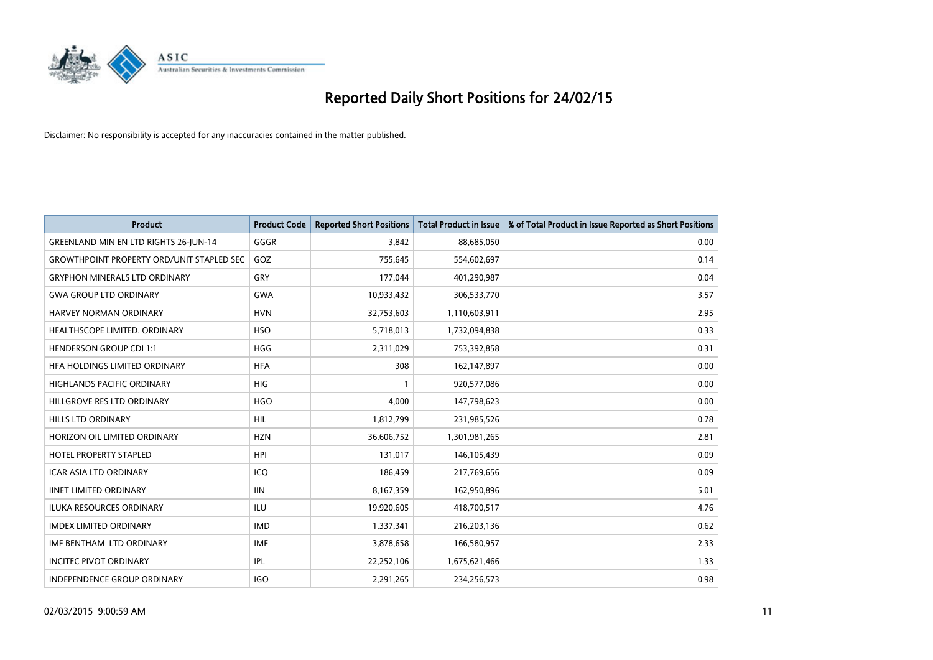

| <b>Product</b>                                   | <b>Product Code</b> | <b>Reported Short Positions</b> | <b>Total Product in Issue</b> | % of Total Product in Issue Reported as Short Positions |
|--------------------------------------------------|---------------------|---------------------------------|-------------------------------|---------------------------------------------------------|
| <b>GREENLAND MIN EN LTD RIGHTS 26-JUN-14</b>     | GGGR                | 3,842                           | 88,685,050                    | 0.00                                                    |
| <b>GROWTHPOINT PROPERTY ORD/UNIT STAPLED SEC</b> | GOZ                 | 755,645                         | 554,602,697                   | 0.14                                                    |
| <b>GRYPHON MINERALS LTD ORDINARY</b>             | GRY                 | 177,044                         | 401,290,987                   | 0.04                                                    |
| <b>GWA GROUP LTD ORDINARY</b>                    | <b>GWA</b>          | 10,933,432                      | 306,533,770                   | 3.57                                                    |
| HARVEY NORMAN ORDINARY                           | <b>HVN</b>          | 32,753,603                      | 1,110,603,911                 | 2.95                                                    |
| HEALTHSCOPE LIMITED. ORDINARY                    | <b>HSO</b>          | 5,718,013                       | 1,732,094,838                 | 0.33                                                    |
| <b>HENDERSON GROUP CDI 1:1</b>                   | <b>HGG</b>          | 2,311,029                       | 753,392,858                   | 0.31                                                    |
| <b>HFA HOLDINGS LIMITED ORDINARY</b>             | <b>HFA</b>          | 308                             | 162,147,897                   | 0.00                                                    |
| <b>HIGHLANDS PACIFIC ORDINARY</b>                | <b>HIG</b>          |                                 | 920,577,086                   | 0.00                                                    |
| HILLGROVE RES LTD ORDINARY                       | <b>HGO</b>          | 4,000                           | 147,798,623                   | 0.00                                                    |
| <b>HILLS LTD ORDINARY</b>                        | <b>HIL</b>          | 1,812,799                       | 231,985,526                   | 0.78                                                    |
| HORIZON OIL LIMITED ORDINARY                     | <b>HZN</b>          | 36,606,752                      | 1,301,981,265                 | 2.81                                                    |
| <b>HOTEL PROPERTY STAPLED</b>                    | <b>HPI</b>          | 131,017                         | 146,105,439                   | 0.09                                                    |
| <b>ICAR ASIA LTD ORDINARY</b>                    | ICQ                 | 186,459                         | 217,769,656                   | 0.09                                                    |
| <b>IINET LIMITED ORDINARY</b>                    | <b>IIN</b>          | 8,167,359                       | 162,950,896                   | 5.01                                                    |
| ILUKA RESOURCES ORDINARY                         | ILU                 | 19,920,605                      | 418,700,517                   | 4.76                                                    |
| <b>IMDEX LIMITED ORDINARY</b>                    | <b>IMD</b>          | 1,337,341                       | 216,203,136                   | 0.62                                                    |
| IMF BENTHAM LTD ORDINARY                         | <b>IMF</b>          | 3,878,658                       | 166,580,957                   | 2.33                                                    |
| <b>INCITEC PIVOT ORDINARY</b>                    | IPL                 | 22,252,106                      | 1,675,621,466                 | 1.33                                                    |
| INDEPENDENCE GROUP ORDINARY                      | <b>IGO</b>          | 2,291,265                       | 234,256,573                   | 0.98                                                    |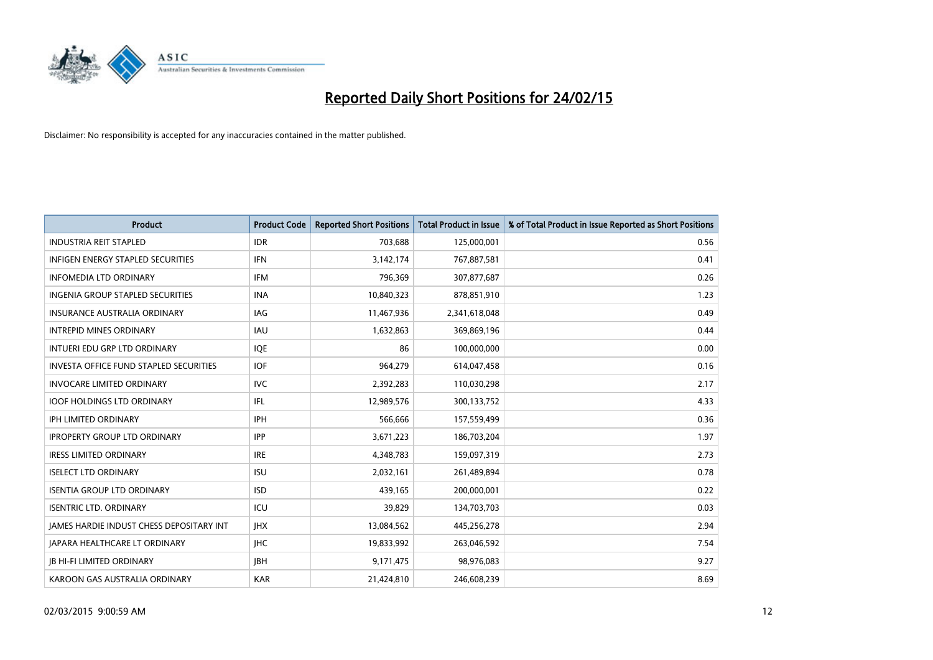

| <b>Product</b>                                | <b>Product Code</b> | <b>Reported Short Positions</b> | <b>Total Product in Issue</b> | % of Total Product in Issue Reported as Short Positions |
|-----------------------------------------------|---------------------|---------------------------------|-------------------------------|---------------------------------------------------------|
| <b>INDUSTRIA REIT STAPLED</b>                 | <b>IDR</b>          | 703,688                         | 125,000,001                   | 0.56                                                    |
| <b>INFIGEN ENERGY STAPLED SECURITIES</b>      | <b>IFN</b>          | 3,142,174                       | 767,887,581                   | 0.41                                                    |
| <b>INFOMEDIA LTD ORDINARY</b>                 | <b>IFM</b>          | 796,369                         | 307,877,687                   | 0.26                                                    |
| INGENIA GROUP STAPLED SECURITIES              | <b>INA</b>          | 10,840,323                      | 878,851,910                   | 1.23                                                    |
| <b>INSURANCE AUSTRALIA ORDINARY</b>           | IAG                 | 11,467,936                      | 2,341,618,048                 | 0.49                                                    |
| <b>INTREPID MINES ORDINARY</b>                | <b>IAU</b>          | 1,632,863                       | 369,869,196                   | 0.44                                                    |
| INTUERI EDU GRP LTD ORDINARY                  | <b>IQE</b>          | 86                              | 100,000,000                   | 0.00                                                    |
| <b>INVESTA OFFICE FUND STAPLED SECURITIES</b> | <b>IOF</b>          | 964,279                         | 614,047,458                   | 0.16                                                    |
| <b>INVOCARE LIMITED ORDINARY</b>              | <b>IVC</b>          | 2,392,283                       | 110,030,298                   | 2.17                                                    |
| <b>IOOF HOLDINGS LTD ORDINARY</b>             | IFL                 | 12,989,576                      | 300,133,752                   | 4.33                                                    |
| IPH LIMITED ORDINARY                          | <b>IPH</b>          | 566,666                         | 157,559,499                   | 0.36                                                    |
| <b>IPROPERTY GROUP LTD ORDINARY</b>           | <b>IPP</b>          | 3,671,223                       | 186,703,204                   | 1.97                                                    |
| <b>IRESS LIMITED ORDINARY</b>                 | <b>IRE</b>          | 4,348,783                       | 159,097,319                   | 2.73                                                    |
| <b>ISELECT LTD ORDINARY</b>                   | <b>ISU</b>          | 2,032,161                       | 261,489,894                   | 0.78                                                    |
| <b>ISENTIA GROUP LTD ORDINARY</b>             | <b>ISD</b>          | 439,165                         | 200,000,001                   | 0.22                                                    |
| <b>ISENTRIC LTD. ORDINARY</b>                 | ICU                 | 39,829                          | 134,703,703                   | 0.03                                                    |
| JAMES HARDIE INDUST CHESS DEPOSITARY INT      | <b>IHX</b>          | 13,084,562                      | 445,256,278                   | 2.94                                                    |
| JAPARA HEALTHCARE LT ORDINARY                 | <b>IHC</b>          | 19,833,992                      | 263,046,592                   | 7.54                                                    |
| <b>JB HI-FI LIMITED ORDINARY</b>              | <b>JBH</b>          | 9,171,475                       | 98,976,083                    | 9.27                                                    |
| KAROON GAS AUSTRALIA ORDINARY                 | <b>KAR</b>          | 21,424,810                      | 246,608,239                   | 8.69                                                    |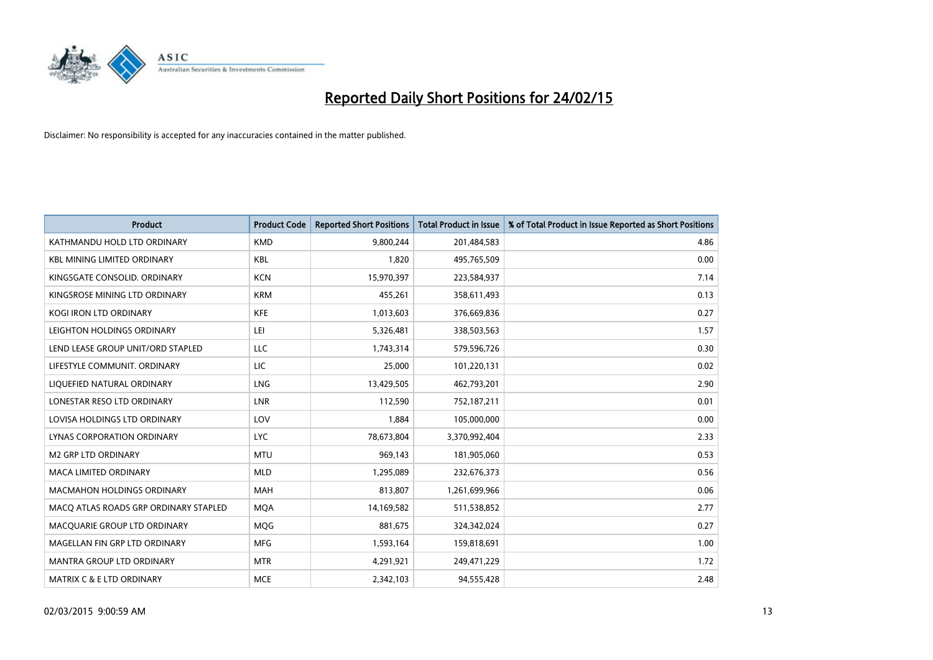

| <b>Product</b>                        | <b>Product Code</b> | <b>Reported Short Positions</b> | <b>Total Product in Issue</b> | % of Total Product in Issue Reported as Short Positions |
|---------------------------------------|---------------------|---------------------------------|-------------------------------|---------------------------------------------------------|
| KATHMANDU HOLD LTD ORDINARY           | <b>KMD</b>          | 9,800,244                       | 201,484,583                   | 4.86                                                    |
| <b>KBL MINING LIMITED ORDINARY</b>    | <b>KBL</b>          | 1,820                           | 495,765,509                   | 0.00                                                    |
| KINGSGATE CONSOLID. ORDINARY          | <b>KCN</b>          | 15,970,397                      | 223,584,937                   | 7.14                                                    |
| KINGSROSE MINING LTD ORDINARY         | <b>KRM</b>          | 455,261                         | 358,611,493                   | 0.13                                                    |
| <b>KOGI IRON LTD ORDINARY</b>         | <b>KFE</b>          | 1,013,603                       | 376,669,836                   | 0.27                                                    |
| LEIGHTON HOLDINGS ORDINARY            | LEI                 | 5,326,481                       | 338,503,563                   | 1.57                                                    |
| LEND LEASE GROUP UNIT/ORD STAPLED     | <b>LLC</b>          | 1,743,314                       | 579,596,726                   | 0.30                                                    |
| LIFESTYLE COMMUNIT. ORDINARY          | LIC                 | 25,000                          | 101,220,131                   | 0.02                                                    |
| LIQUEFIED NATURAL ORDINARY            | LNG                 | 13,429,505                      | 462,793,201                   | 2.90                                                    |
| LONESTAR RESO LTD ORDINARY            | <b>LNR</b>          | 112,590                         | 752,187,211                   | 0.01                                                    |
| LOVISA HOLDINGS LTD ORDINARY          | LOV                 | 1,884                           | 105,000,000                   | 0.00                                                    |
| <b>LYNAS CORPORATION ORDINARY</b>     | <b>LYC</b>          | 78,673,804                      | 3,370,992,404                 | 2.33                                                    |
| <b>M2 GRP LTD ORDINARY</b>            | <b>MTU</b>          | 969,143                         | 181,905,060                   | 0.53                                                    |
| <b>MACA LIMITED ORDINARY</b>          | <b>MLD</b>          | 1,295,089                       | 232,676,373                   | 0.56                                                    |
| <b>MACMAHON HOLDINGS ORDINARY</b>     | <b>MAH</b>          | 813,807                         | 1,261,699,966                 | 0.06                                                    |
| MACO ATLAS ROADS GRP ORDINARY STAPLED | <b>MOA</b>          | 14,169,582                      | 511,538,852                   | 2.77                                                    |
| MACQUARIE GROUP LTD ORDINARY          | MQG                 | 881,675                         | 324,342,024                   | 0.27                                                    |
| MAGELLAN FIN GRP LTD ORDINARY         | <b>MFG</b>          | 1,593,164                       | 159,818,691                   | 1.00                                                    |
| <b>MANTRA GROUP LTD ORDINARY</b>      | <b>MTR</b>          | 4,291,921                       | 249,471,229                   | 1.72                                                    |
| <b>MATRIX C &amp; E LTD ORDINARY</b>  | <b>MCE</b>          | 2,342,103                       | 94,555,428                    | 2.48                                                    |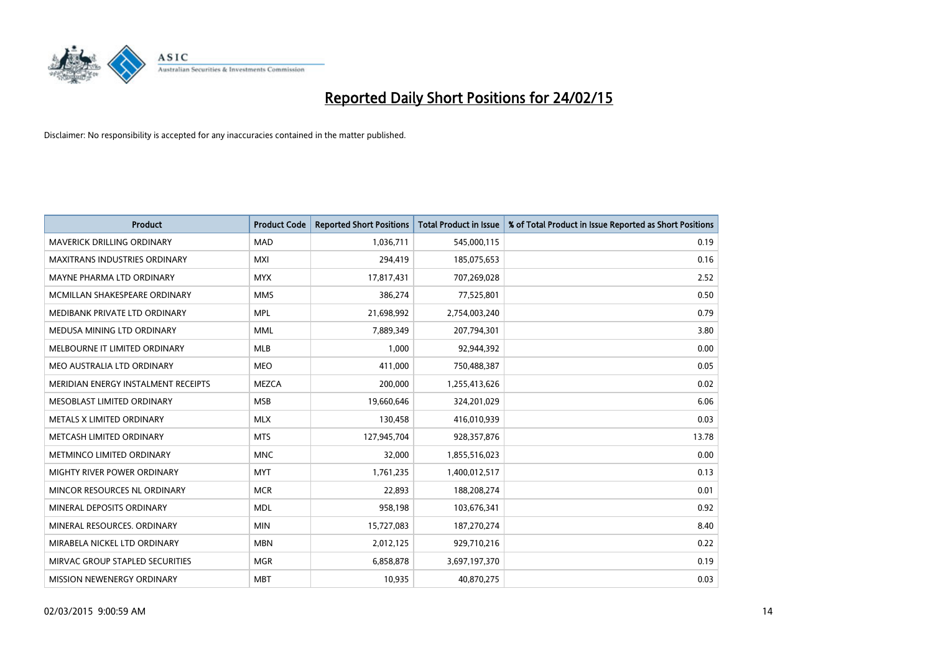

| <b>Product</b>                       | <b>Product Code</b> | <b>Reported Short Positions</b> | <b>Total Product in Issue</b> | % of Total Product in Issue Reported as Short Positions |
|--------------------------------------|---------------------|---------------------------------|-------------------------------|---------------------------------------------------------|
| <b>MAVERICK DRILLING ORDINARY</b>    | <b>MAD</b>          | 1,036,711                       | 545,000,115                   | 0.19                                                    |
| <b>MAXITRANS INDUSTRIES ORDINARY</b> | <b>MXI</b>          | 294,419                         | 185,075,653                   | 0.16                                                    |
| MAYNE PHARMA LTD ORDINARY            | <b>MYX</b>          | 17,817,431                      | 707,269,028                   | 2.52                                                    |
| MCMILLAN SHAKESPEARE ORDINARY        | <b>MMS</b>          | 386,274                         | 77,525,801                    | 0.50                                                    |
| MEDIBANK PRIVATE LTD ORDINARY        | <b>MPL</b>          | 21,698,992                      | 2,754,003,240                 | 0.79                                                    |
| MEDUSA MINING LTD ORDINARY           | <b>MML</b>          | 7,889,349                       | 207,794,301                   | 3.80                                                    |
| MELBOURNE IT LIMITED ORDINARY        | <b>MLB</b>          | 1.000                           | 92,944,392                    | 0.00                                                    |
| MEO AUSTRALIA LTD ORDINARY           | <b>MEO</b>          | 411,000                         | 750,488,387                   | 0.05                                                    |
| MERIDIAN ENERGY INSTALMENT RECEIPTS  | <b>MEZCA</b>        | 200,000                         | 1,255,413,626                 | 0.02                                                    |
| MESOBLAST LIMITED ORDINARY           | <b>MSB</b>          | 19,660,646                      | 324,201,029                   | 6.06                                                    |
| METALS X LIMITED ORDINARY            | <b>MLX</b>          | 130,458                         | 416,010,939                   | 0.03                                                    |
| METCASH LIMITED ORDINARY             | <b>MTS</b>          | 127,945,704                     | 928,357,876                   | 13.78                                                   |
| METMINCO LIMITED ORDINARY            | <b>MNC</b>          | 32,000                          | 1,855,516,023                 | 0.00                                                    |
| MIGHTY RIVER POWER ORDINARY          | <b>MYT</b>          | 1,761,235                       | 1,400,012,517                 | 0.13                                                    |
| MINCOR RESOURCES NL ORDINARY         | <b>MCR</b>          | 22,893                          | 188,208,274                   | 0.01                                                    |
| MINERAL DEPOSITS ORDINARY            | <b>MDL</b>          | 958,198                         | 103,676,341                   | 0.92                                                    |
| MINERAL RESOURCES. ORDINARY          | <b>MIN</b>          | 15,727,083                      | 187,270,274                   | 8.40                                                    |
| MIRABELA NICKEL LTD ORDINARY         | <b>MBN</b>          | 2,012,125                       | 929,710,216                   | 0.22                                                    |
| MIRVAC GROUP STAPLED SECURITIES      | <b>MGR</b>          | 6,858,878                       | 3,697,197,370                 | 0.19                                                    |
| <b>MISSION NEWENERGY ORDINARY</b>    | <b>MBT</b>          | 10,935                          | 40,870,275                    | 0.03                                                    |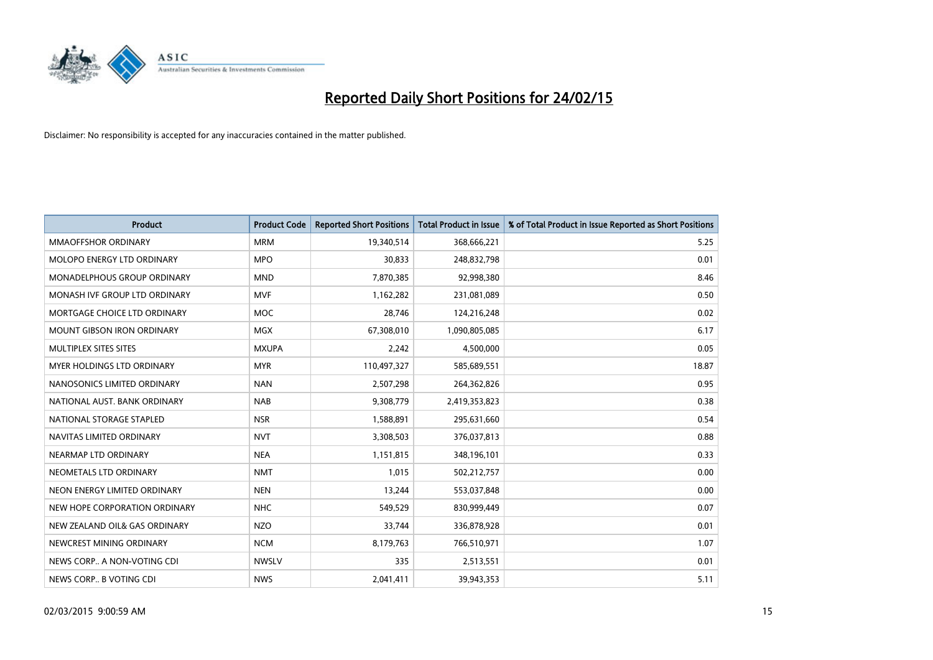

| <b>Product</b>                    | <b>Product Code</b> | <b>Reported Short Positions</b> | <b>Total Product in Issue</b> | % of Total Product in Issue Reported as Short Positions |
|-----------------------------------|---------------------|---------------------------------|-------------------------------|---------------------------------------------------------|
| <b>MMAOFFSHOR ORDINARY</b>        | <b>MRM</b>          | 19,340,514                      | 368,666,221                   | 5.25                                                    |
| MOLOPO ENERGY LTD ORDINARY        | <b>MPO</b>          | 30,833                          | 248,832,798                   | 0.01                                                    |
| MONADELPHOUS GROUP ORDINARY       | <b>MND</b>          | 7,870,385                       | 92,998,380                    | 8.46                                                    |
| MONASH IVF GROUP LTD ORDINARY     | <b>MVF</b>          | 1,162,282                       | 231,081,089                   | 0.50                                                    |
| MORTGAGE CHOICE LTD ORDINARY      | <b>MOC</b>          | 28,746                          | 124,216,248                   | 0.02                                                    |
| <b>MOUNT GIBSON IRON ORDINARY</b> | <b>MGX</b>          | 67,308,010                      | 1,090,805,085                 | 6.17                                                    |
| MULTIPLEX SITES SITES             | <b>MXUPA</b>        | 2,242                           | 4,500,000                     | 0.05                                                    |
| MYER HOLDINGS LTD ORDINARY        | <b>MYR</b>          | 110,497,327                     | 585,689,551                   | 18.87                                                   |
| NANOSONICS LIMITED ORDINARY       | <b>NAN</b>          | 2,507,298                       | 264,362,826                   | 0.95                                                    |
| NATIONAL AUST, BANK ORDINARY      | <b>NAB</b>          | 9,308,779                       | 2,419,353,823                 | 0.38                                                    |
| NATIONAL STORAGE STAPLED          | <b>NSR</b>          | 1,588,891                       | 295,631,660                   | 0.54                                                    |
| NAVITAS LIMITED ORDINARY          | <b>NVT</b>          | 3,308,503                       | 376,037,813                   | 0.88                                                    |
| NEARMAP LTD ORDINARY              | <b>NEA</b>          | 1,151,815                       | 348,196,101                   | 0.33                                                    |
| NEOMETALS LTD ORDINARY            | <b>NMT</b>          | 1,015                           | 502,212,757                   | 0.00                                                    |
| NEON ENERGY LIMITED ORDINARY      | <b>NEN</b>          | 13,244                          | 553,037,848                   | 0.00                                                    |
| NEW HOPE CORPORATION ORDINARY     | <b>NHC</b>          | 549,529                         | 830,999,449                   | 0.07                                                    |
| NEW ZEALAND OIL& GAS ORDINARY     | <b>NZO</b>          | 33,744                          | 336,878,928                   | 0.01                                                    |
| NEWCREST MINING ORDINARY          | <b>NCM</b>          | 8,179,763                       | 766,510,971                   | 1.07                                                    |
| NEWS CORP A NON-VOTING CDI        | <b>NWSLV</b>        | 335                             | 2,513,551                     | 0.01                                                    |
| NEWS CORP B VOTING CDI            | <b>NWS</b>          | 2,041,411                       | 39,943,353                    | 5.11                                                    |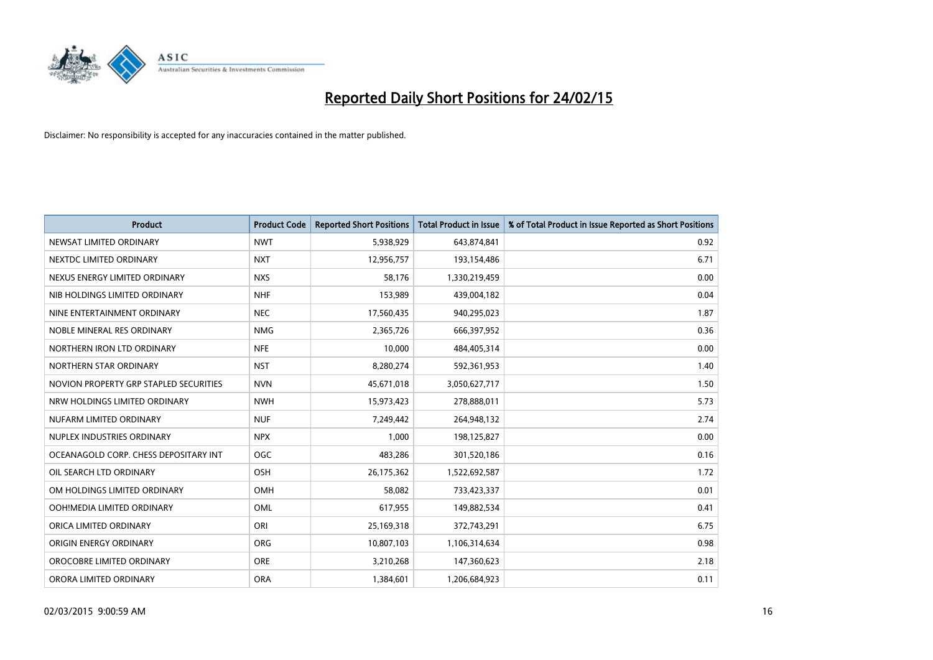

| <b>Product</b>                         | <b>Product Code</b> | <b>Reported Short Positions</b> | <b>Total Product in Issue</b> | % of Total Product in Issue Reported as Short Positions |
|----------------------------------------|---------------------|---------------------------------|-------------------------------|---------------------------------------------------------|
| NEWSAT LIMITED ORDINARY                | <b>NWT</b>          | 5,938,929                       | 643,874,841                   | 0.92                                                    |
| NEXTDC LIMITED ORDINARY                | <b>NXT</b>          | 12,956,757                      | 193,154,486                   | 6.71                                                    |
| NEXUS ENERGY LIMITED ORDINARY          | <b>NXS</b>          | 58,176                          | 1,330,219,459                 | 0.00                                                    |
| NIB HOLDINGS LIMITED ORDINARY          | <b>NHF</b>          | 153,989                         | 439,004,182                   | 0.04                                                    |
| NINE ENTERTAINMENT ORDINARY            | <b>NEC</b>          | 17,560,435                      | 940,295,023                   | 1.87                                                    |
| NOBLE MINERAL RES ORDINARY             | <b>NMG</b>          | 2,365,726                       | 666,397,952                   | 0.36                                                    |
| NORTHERN IRON LTD ORDINARY             | <b>NFE</b>          | 10,000                          | 484,405,314                   | 0.00                                                    |
| NORTHERN STAR ORDINARY                 | <b>NST</b>          | 8,280,274                       | 592,361,953                   | 1.40                                                    |
| NOVION PROPERTY GRP STAPLED SECURITIES | <b>NVN</b>          | 45,671,018                      | 3,050,627,717                 | 1.50                                                    |
| NRW HOLDINGS LIMITED ORDINARY          | <b>NWH</b>          | 15,973,423                      | 278,888,011                   | 5.73                                                    |
| NUFARM LIMITED ORDINARY                | <b>NUF</b>          | 7,249,442                       | 264,948,132                   | 2.74                                                    |
| NUPLEX INDUSTRIES ORDINARY             | <b>NPX</b>          | 1,000                           | 198,125,827                   | 0.00                                                    |
| OCEANAGOLD CORP. CHESS DEPOSITARY INT  | <b>OGC</b>          | 483,286                         | 301,520,186                   | 0.16                                                    |
| OIL SEARCH LTD ORDINARY                | OSH                 | 26,175,362                      | 1,522,692,587                 | 1.72                                                    |
| OM HOLDINGS LIMITED ORDINARY           | OMH                 | 58,082                          | 733,423,337                   | 0.01                                                    |
| OOH!MEDIA LIMITED ORDINARY             | OML                 | 617,955                         | 149,882,534                   | 0.41                                                    |
| ORICA LIMITED ORDINARY                 | ORI                 | 25,169,318                      | 372,743,291                   | 6.75                                                    |
| ORIGIN ENERGY ORDINARY                 | <b>ORG</b>          | 10,807,103                      | 1,106,314,634                 | 0.98                                                    |
| OROCOBRE LIMITED ORDINARY              | <b>ORE</b>          | 3,210,268                       | 147,360,623                   | 2.18                                                    |
| ORORA LIMITED ORDINARY                 | <b>ORA</b>          | 1,384,601                       | 1,206,684,923                 | 0.11                                                    |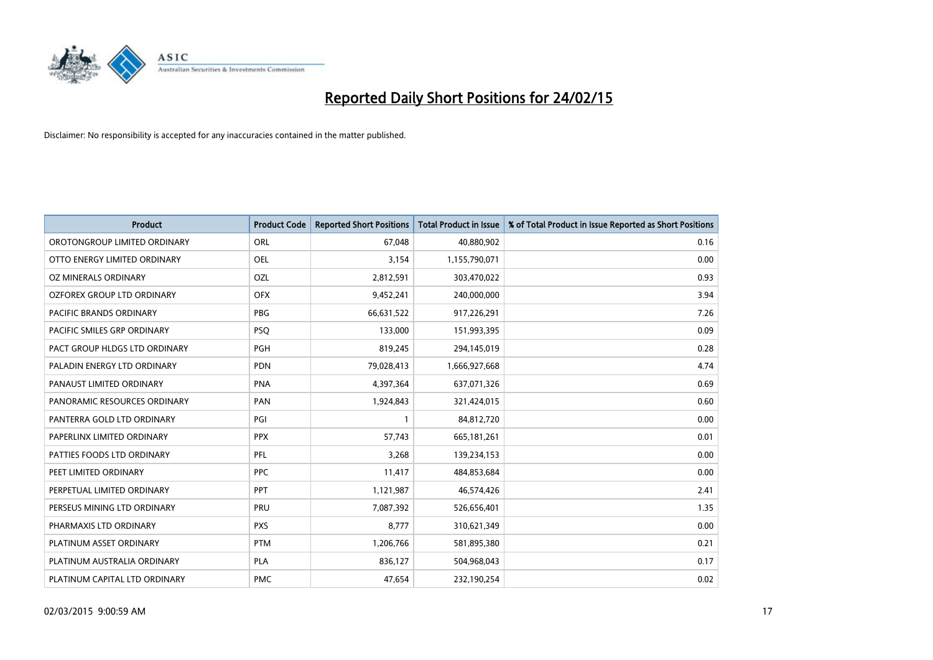

| <b>Product</b>                 | <b>Product Code</b> | <b>Reported Short Positions</b> | <b>Total Product in Issue</b> | % of Total Product in Issue Reported as Short Positions |
|--------------------------------|---------------------|---------------------------------|-------------------------------|---------------------------------------------------------|
| OROTONGROUP LIMITED ORDINARY   | ORL                 | 67,048                          | 40,880,902                    | 0.16                                                    |
| OTTO ENERGY LIMITED ORDINARY   | OEL                 | 3,154                           | 1,155,790,071                 | 0.00                                                    |
| OZ MINERALS ORDINARY           | OZL                 | 2,812,591                       | 303,470,022                   | 0.93                                                    |
| OZFOREX GROUP LTD ORDINARY     | <b>OFX</b>          | 9,452,241                       | 240,000,000                   | 3.94                                                    |
| <b>PACIFIC BRANDS ORDINARY</b> | <b>PBG</b>          | 66,631,522                      | 917,226,291                   | 7.26                                                    |
| PACIFIC SMILES GRP ORDINARY    | <b>PSQ</b>          | 133,000                         | 151,993,395                   | 0.09                                                    |
| PACT GROUP HLDGS LTD ORDINARY  | <b>PGH</b>          | 819,245                         | 294,145,019                   | 0.28                                                    |
| PALADIN ENERGY LTD ORDINARY    | <b>PDN</b>          | 79,028,413                      | 1,666,927,668                 | 4.74                                                    |
| PANAUST LIMITED ORDINARY       | <b>PNA</b>          | 4,397,364                       | 637,071,326                   | 0.69                                                    |
| PANORAMIC RESOURCES ORDINARY   | PAN                 | 1,924,843                       | 321,424,015                   | 0.60                                                    |
| PANTERRA GOLD LTD ORDINARY     | PGI                 | 1                               | 84,812,720                    | 0.00                                                    |
| PAPERLINX LIMITED ORDINARY     | <b>PPX</b>          | 57,743                          | 665, 181, 261                 | 0.01                                                    |
| PATTIES FOODS LTD ORDINARY     | PFL                 | 3,268                           | 139,234,153                   | 0.00                                                    |
| PEET LIMITED ORDINARY          | <b>PPC</b>          | 11,417                          | 484,853,684                   | 0.00                                                    |
| PERPETUAL LIMITED ORDINARY     | <b>PPT</b>          | 1,121,987                       | 46,574,426                    | 2.41                                                    |
| PERSEUS MINING LTD ORDINARY    | PRU                 | 7,087,392                       | 526,656,401                   | 1.35                                                    |
| PHARMAXIS LTD ORDINARY         | <b>PXS</b>          | 8,777                           | 310,621,349                   | 0.00                                                    |
| PLATINUM ASSET ORDINARY        | <b>PTM</b>          | 1,206,766                       | 581,895,380                   | 0.21                                                    |
| PLATINUM AUSTRALIA ORDINARY    | <b>PLA</b>          | 836,127                         | 504,968,043                   | 0.17                                                    |
| PLATINUM CAPITAL LTD ORDINARY  | <b>PMC</b>          | 47,654                          | 232,190,254                   | 0.02                                                    |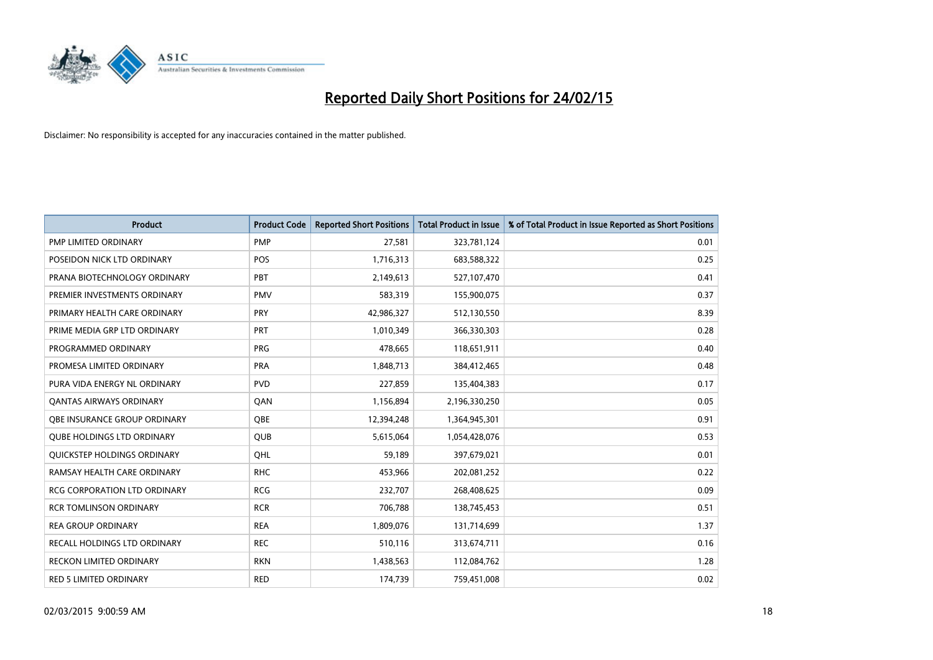

| <b>Product</b>                      | <b>Product Code</b> | <b>Reported Short Positions</b> | <b>Total Product in Issue</b> | % of Total Product in Issue Reported as Short Positions |
|-------------------------------------|---------------------|---------------------------------|-------------------------------|---------------------------------------------------------|
| PMP LIMITED ORDINARY                | <b>PMP</b>          | 27,581                          | 323,781,124                   | 0.01                                                    |
| POSEIDON NICK LTD ORDINARY          | <b>POS</b>          | 1,716,313                       | 683,588,322                   | 0.25                                                    |
| PRANA BIOTECHNOLOGY ORDINARY        | PBT                 | 2,149,613                       | 527,107,470                   | 0.41                                                    |
| PREMIER INVESTMENTS ORDINARY        | <b>PMV</b>          | 583,319                         | 155,900,075                   | 0.37                                                    |
| PRIMARY HEALTH CARE ORDINARY        | PRY                 | 42,986,327                      | 512,130,550                   | 8.39                                                    |
| PRIME MEDIA GRP LTD ORDINARY        | PRT                 | 1,010,349                       | 366,330,303                   | 0.28                                                    |
| PROGRAMMED ORDINARY                 | <b>PRG</b>          | 478,665                         | 118,651,911                   | 0.40                                                    |
| PROMESA LIMITED ORDINARY            | <b>PRA</b>          | 1,848,713                       | 384,412,465                   | 0.48                                                    |
| PURA VIDA ENERGY NL ORDINARY        | <b>PVD</b>          | 227,859                         | 135,404,383                   | 0.17                                                    |
| <b>QANTAS AIRWAYS ORDINARY</b>      | QAN                 | 1,156,894                       | 2,196,330,250                 | 0.05                                                    |
| OBE INSURANCE GROUP ORDINARY        | <b>OBE</b>          | 12,394,248                      | 1,364,945,301                 | 0.91                                                    |
| <b>QUBE HOLDINGS LTD ORDINARY</b>   | QUB                 | 5,615,064                       | 1,054,428,076                 | 0.53                                                    |
| QUICKSTEP HOLDINGS ORDINARY         | OHL                 | 59,189                          | 397,679,021                   | 0.01                                                    |
| RAMSAY HEALTH CARE ORDINARY         | <b>RHC</b>          | 453,966                         | 202,081,252                   | 0.22                                                    |
| <b>RCG CORPORATION LTD ORDINARY</b> | <b>RCG</b>          | 232,707                         | 268,408,625                   | 0.09                                                    |
| <b>RCR TOMLINSON ORDINARY</b>       | <b>RCR</b>          | 706,788                         | 138,745,453                   | 0.51                                                    |
| <b>REA GROUP ORDINARY</b>           | <b>REA</b>          | 1,809,076                       | 131,714,699                   | 1.37                                                    |
| RECALL HOLDINGS LTD ORDINARY        | <b>REC</b>          | 510,116                         | 313,674,711                   | 0.16                                                    |
| <b>RECKON LIMITED ORDINARY</b>      | <b>RKN</b>          | 1,438,563                       | 112,084,762                   | 1.28                                                    |
| RED 5 LIMITED ORDINARY              | <b>RED</b>          | 174,739                         | 759,451,008                   | 0.02                                                    |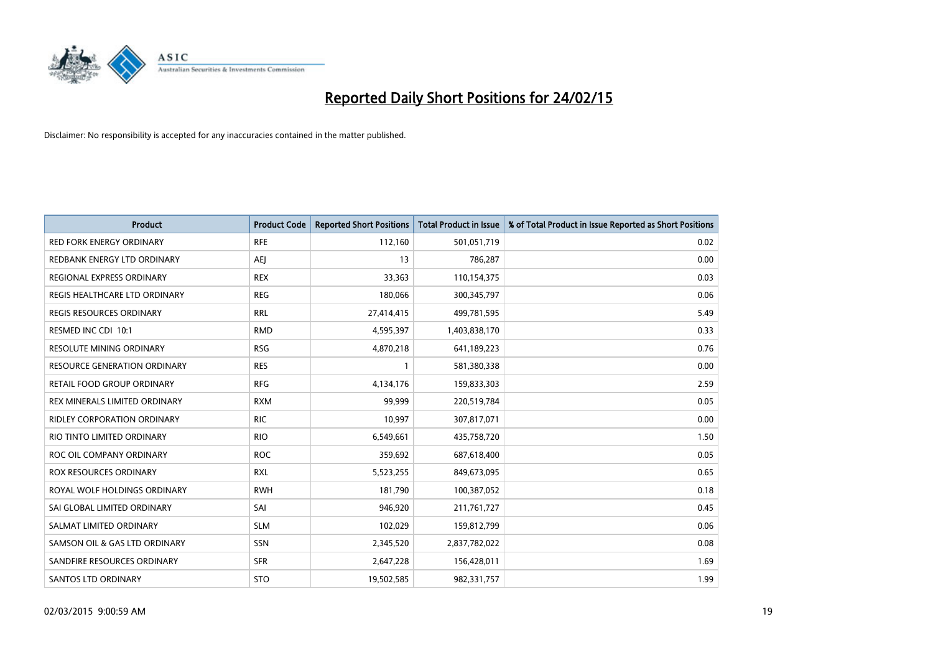

| <b>Product</b>                     | <b>Product Code</b> | <b>Reported Short Positions</b> | <b>Total Product in Issue</b> | % of Total Product in Issue Reported as Short Positions |
|------------------------------------|---------------------|---------------------------------|-------------------------------|---------------------------------------------------------|
| <b>RED FORK ENERGY ORDINARY</b>    | <b>RFE</b>          | 112,160                         | 501,051,719                   | 0.02                                                    |
| REDBANK ENERGY LTD ORDINARY        | AEJ                 | 13                              | 786,287                       | 0.00                                                    |
| REGIONAL EXPRESS ORDINARY          | <b>REX</b>          | 33,363                          | 110,154,375                   | 0.03                                                    |
| REGIS HEALTHCARE LTD ORDINARY      | <b>REG</b>          | 180,066                         | 300, 345, 797                 | 0.06                                                    |
| <b>REGIS RESOURCES ORDINARY</b>    | <b>RRL</b>          | 27,414,415                      | 499,781,595                   | 5.49                                                    |
| RESMED INC CDI 10:1                | <b>RMD</b>          | 4,595,397                       | 1,403,838,170                 | 0.33                                                    |
| <b>RESOLUTE MINING ORDINARY</b>    | <b>RSG</b>          | 4,870,218                       | 641,189,223                   | 0.76                                                    |
| RESOURCE GENERATION ORDINARY       | <b>RES</b>          | $\mathbf{1}$                    | 581,380,338                   | 0.00                                                    |
| <b>RETAIL FOOD GROUP ORDINARY</b>  | <b>RFG</b>          | 4,134,176                       | 159,833,303                   | 2.59                                                    |
| REX MINERALS LIMITED ORDINARY      | <b>RXM</b>          | 99,999                          | 220,519,784                   | 0.05                                                    |
| <b>RIDLEY CORPORATION ORDINARY</b> | <b>RIC</b>          | 10,997                          | 307,817,071                   | 0.00                                                    |
| RIO TINTO LIMITED ORDINARY         | <b>RIO</b>          | 6,549,661                       | 435,758,720                   | 1.50                                                    |
| ROC OIL COMPANY ORDINARY           | <b>ROC</b>          | 359,692                         | 687,618,400                   | 0.05                                                    |
| ROX RESOURCES ORDINARY             | <b>RXL</b>          | 5,523,255                       | 849,673,095                   | 0.65                                                    |
| ROYAL WOLF HOLDINGS ORDINARY       | <b>RWH</b>          | 181,790                         | 100,387,052                   | 0.18                                                    |
| SAI GLOBAL LIMITED ORDINARY        | SAI                 | 946,920                         | 211,761,727                   | 0.45                                                    |
| SALMAT LIMITED ORDINARY            | <b>SLM</b>          | 102,029                         | 159,812,799                   | 0.06                                                    |
| SAMSON OIL & GAS LTD ORDINARY      | SSN                 | 2,345,520                       | 2,837,782,022                 | 0.08                                                    |
| SANDFIRE RESOURCES ORDINARY        | <b>SFR</b>          | 2,647,228                       | 156,428,011                   | 1.69                                                    |
| <b>SANTOS LTD ORDINARY</b>         | <b>STO</b>          | 19,502,585                      | 982,331,757                   | 1.99                                                    |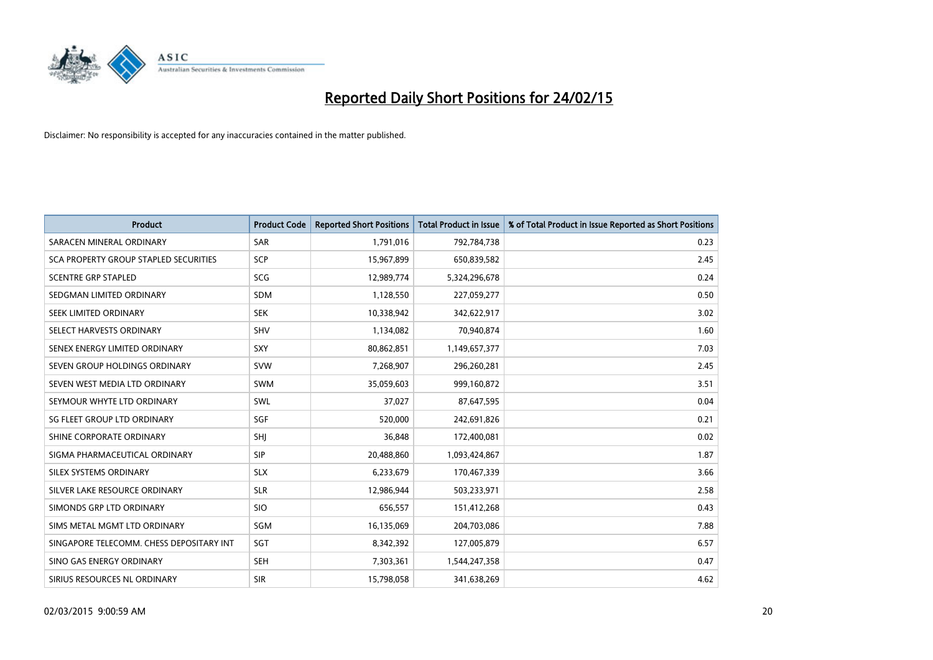

| <b>Product</b>                           | <b>Product Code</b> | <b>Reported Short Positions</b> | <b>Total Product in Issue</b> | % of Total Product in Issue Reported as Short Positions |
|------------------------------------------|---------------------|---------------------------------|-------------------------------|---------------------------------------------------------|
| SARACEN MINERAL ORDINARY                 | <b>SAR</b>          | 1,791,016                       | 792,784,738                   | 0.23                                                    |
| SCA PROPERTY GROUP STAPLED SECURITIES    | SCP                 | 15,967,899                      | 650,839,582                   | 2.45                                                    |
| <b>SCENTRE GRP STAPLED</b>               | SCG                 | 12,989,774                      | 5,324,296,678                 | 0.24                                                    |
| SEDGMAN LIMITED ORDINARY                 | <b>SDM</b>          | 1,128,550                       | 227,059,277                   | 0.50                                                    |
| SEEK LIMITED ORDINARY                    | <b>SEK</b>          | 10,338,942                      | 342,622,917                   | 3.02                                                    |
| SELECT HARVESTS ORDINARY                 | SHV                 | 1,134,082                       | 70,940,874                    | 1.60                                                    |
| SENEX ENERGY LIMITED ORDINARY            | SXY                 | 80,862,851                      | 1,149,657,377                 | 7.03                                                    |
| SEVEN GROUP HOLDINGS ORDINARY            | <b>SVW</b>          | 7,268,907                       | 296,260,281                   | 2.45                                                    |
| SEVEN WEST MEDIA LTD ORDINARY            | <b>SWM</b>          | 35,059,603                      | 999,160,872                   | 3.51                                                    |
| SEYMOUR WHYTE LTD ORDINARY               | SWL                 | 37,027                          | 87,647,595                    | 0.04                                                    |
| SG FLEET GROUP LTD ORDINARY              | SGF                 | 520,000                         | 242,691,826                   | 0.21                                                    |
| SHINE CORPORATE ORDINARY                 | SHI                 | 36,848                          | 172,400,081                   | 0.02                                                    |
| SIGMA PHARMACEUTICAL ORDINARY            | <b>SIP</b>          | 20,488,860                      | 1,093,424,867                 | 1.87                                                    |
| SILEX SYSTEMS ORDINARY                   | <b>SLX</b>          | 6,233,679                       | 170,467,339                   | 3.66                                                    |
| SILVER LAKE RESOURCE ORDINARY            | <b>SLR</b>          | 12,986,944                      | 503,233,971                   | 2.58                                                    |
| SIMONDS GRP LTD ORDINARY                 | <b>SIO</b>          | 656,557                         | 151,412,268                   | 0.43                                                    |
| SIMS METAL MGMT LTD ORDINARY             | SGM                 | 16,135,069                      | 204,703,086                   | 7.88                                                    |
| SINGAPORE TELECOMM. CHESS DEPOSITARY INT | SGT                 | 8,342,392                       | 127,005,879                   | 6.57                                                    |
| SINO GAS ENERGY ORDINARY                 | <b>SEH</b>          | 7,303,361                       | 1,544,247,358                 | 0.47                                                    |
| SIRIUS RESOURCES NL ORDINARY             | <b>SIR</b>          | 15,798,058                      | 341,638,269                   | 4.62                                                    |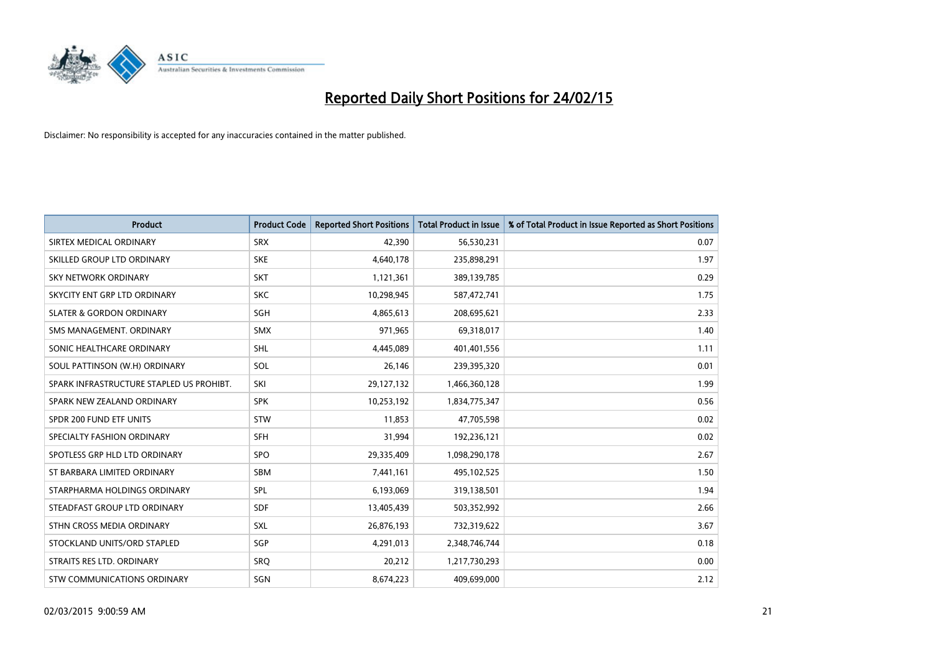

| <b>Product</b>                           | <b>Product Code</b> | <b>Reported Short Positions</b> | <b>Total Product in Issue</b> | % of Total Product in Issue Reported as Short Positions |
|------------------------------------------|---------------------|---------------------------------|-------------------------------|---------------------------------------------------------|
| SIRTEX MEDICAL ORDINARY                  | <b>SRX</b>          | 42,390                          | 56,530,231                    | 0.07                                                    |
| SKILLED GROUP LTD ORDINARY               | <b>SKE</b>          | 4,640,178                       | 235,898,291                   | 1.97                                                    |
| <b>SKY NETWORK ORDINARY</b>              | <b>SKT</b>          | 1,121,361                       | 389,139,785                   | 0.29                                                    |
| SKYCITY ENT GRP LTD ORDINARY             | <b>SKC</b>          | 10,298,945                      | 587,472,741                   | 1.75                                                    |
| <b>SLATER &amp; GORDON ORDINARY</b>      | SGH                 | 4,865,613                       | 208,695,621                   | 2.33                                                    |
| SMS MANAGEMENT, ORDINARY                 | SMX                 | 971,965                         | 69,318,017                    | 1.40                                                    |
| SONIC HEALTHCARE ORDINARY                | SHL                 | 4,445,089                       | 401,401,556                   | 1.11                                                    |
| SOUL PATTINSON (W.H) ORDINARY            | SOL                 | 26,146                          | 239,395,320                   | 0.01                                                    |
| SPARK INFRASTRUCTURE STAPLED US PROHIBT. | SKI                 | 29,127,132                      | 1,466,360,128                 | 1.99                                                    |
| SPARK NEW ZEALAND ORDINARY               | <b>SPK</b>          | 10,253,192                      | 1,834,775,347                 | 0.56                                                    |
| SPDR 200 FUND ETF UNITS                  | <b>STW</b>          | 11,853                          | 47,705,598                    | 0.02                                                    |
| SPECIALTY FASHION ORDINARY               | <b>SFH</b>          | 31,994                          | 192,236,121                   | 0.02                                                    |
| SPOTLESS GRP HLD LTD ORDINARY            | <b>SPO</b>          | 29,335,409                      | 1,098,290,178                 | 2.67                                                    |
| ST BARBARA LIMITED ORDINARY              | <b>SBM</b>          | 7,441,161                       | 495,102,525                   | 1.50                                                    |
| STARPHARMA HOLDINGS ORDINARY             | SPL                 | 6,193,069                       | 319,138,501                   | 1.94                                                    |
| STEADFAST GROUP LTD ORDINARY             | SDF                 | 13,405,439                      | 503,352,992                   | 2.66                                                    |
| STHN CROSS MEDIA ORDINARY                | SXL                 | 26,876,193                      | 732,319,622                   | 3.67                                                    |
| STOCKLAND UNITS/ORD STAPLED              | SGP                 | 4,291,013                       | 2,348,746,744                 | 0.18                                                    |
| STRAITS RES LTD. ORDINARY                | <b>SRQ</b>          | 20,212                          | 1,217,730,293                 | 0.00                                                    |
| <b>STW COMMUNICATIONS ORDINARY</b>       | SGN                 | 8,674,223                       | 409,699,000                   | 2.12                                                    |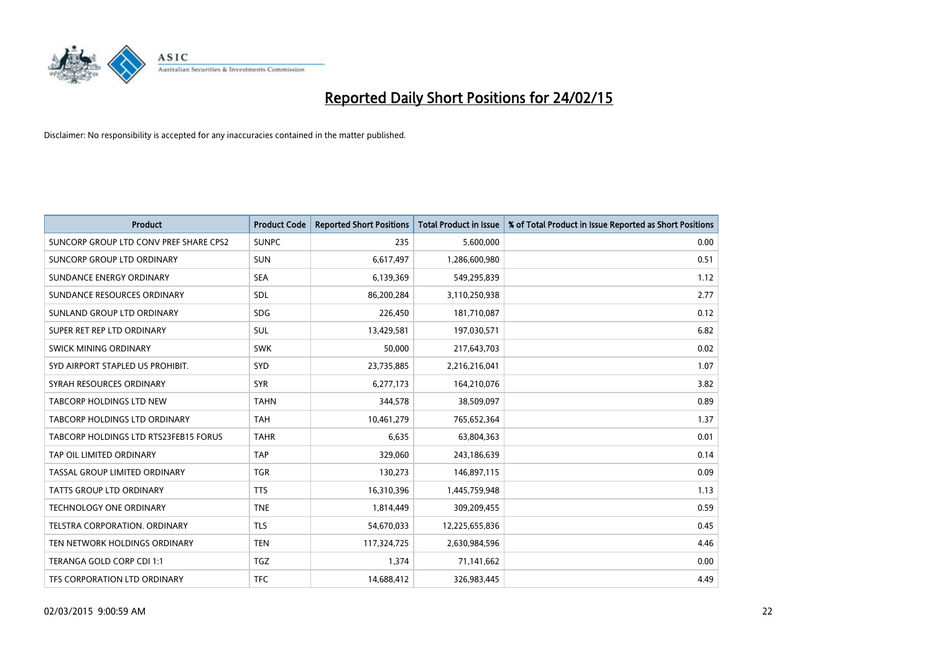

| <b>Product</b>                         | <b>Product Code</b> | <b>Reported Short Positions</b> | <b>Total Product in Issue</b> | % of Total Product in Issue Reported as Short Positions |
|----------------------------------------|---------------------|---------------------------------|-------------------------------|---------------------------------------------------------|
| SUNCORP GROUP LTD CONV PREF SHARE CPS2 | <b>SUNPC</b>        | 235                             | 5,600,000                     | 0.00                                                    |
| SUNCORP GROUP LTD ORDINARY             | <b>SUN</b>          | 6,617,497                       | 1,286,600,980                 | 0.51                                                    |
| SUNDANCE ENERGY ORDINARY               | <b>SEA</b>          | 6,139,369                       | 549,295,839                   | 1.12                                                    |
| SUNDANCE RESOURCES ORDINARY            | SDL                 | 86,200,284                      | 3,110,250,938                 | 2.77                                                    |
| SUNLAND GROUP LTD ORDINARY             | <b>SDG</b>          | 226,450                         | 181,710,087                   | 0.12                                                    |
| SUPER RET REP LTD ORDINARY             | <b>SUL</b>          | 13,429,581                      | 197,030,571                   | 6.82                                                    |
| SWICK MINING ORDINARY                  | <b>SWK</b>          | 50,000                          | 217,643,703                   | 0.02                                                    |
| SYD AIRPORT STAPLED US PROHIBIT.       | <b>SYD</b>          | 23,735,885                      | 2,216,216,041                 | 1.07                                                    |
| SYRAH RESOURCES ORDINARY               | <b>SYR</b>          | 6,277,173                       | 164,210,076                   | 3.82                                                    |
| <b>TABCORP HOLDINGS LTD NEW</b>        | <b>TAHN</b>         | 344,578                         | 38,509,097                    | 0.89                                                    |
| TABCORP HOLDINGS LTD ORDINARY          | <b>TAH</b>          | 10,461,279                      | 765,652,364                   | 1.37                                                    |
| TABCORP HOLDINGS LTD RTS23FEB15 FORUS  | <b>TAHR</b>         | 6,635                           | 63,804,363                    | 0.01                                                    |
| TAP OIL LIMITED ORDINARY               | <b>TAP</b>          | 329,060                         | 243,186,639                   | 0.14                                                    |
| TASSAL GROUP LIMITED ORDINARY          | <b>TGR</b>          | 130,273                         | 146,897,115                   | 0.09                                                    |
| <b>TATTS GROUP LTD ORDINARY</b>        | <b>TTS</b>          | 16,310,396                      | 1,445,759,948                 | 1.13                                                    |
| <b>TECHNOLOGY ONE ORDINARY</b>         | <b>TNE</b>          | 1,814,449                       | 309,209,455                   | 0.59                                                    |
| TELSTRA CORPORATION, ORDINARY          | <b>TLS</b>          | 54,670,033                      | 12,225,655,836                | 0.45                                                    |
| TEN NETWORK HOLDINGS ORDINARY          | <b>TEN</b>          | 117,324,725                     | 2,630,984,596                 | 4.46                                                    |
| TERANGA GOLD CORP CDI 1:1              | <b>TGZ</b>          | 1,374                           | 71,141,662                    | 0.00                                                    |
| TFS CORPORATION LTD ORDINARY           | <b>TFC</b>          | 14,688,412                      | 326,983,445                   | 4.49                                                    |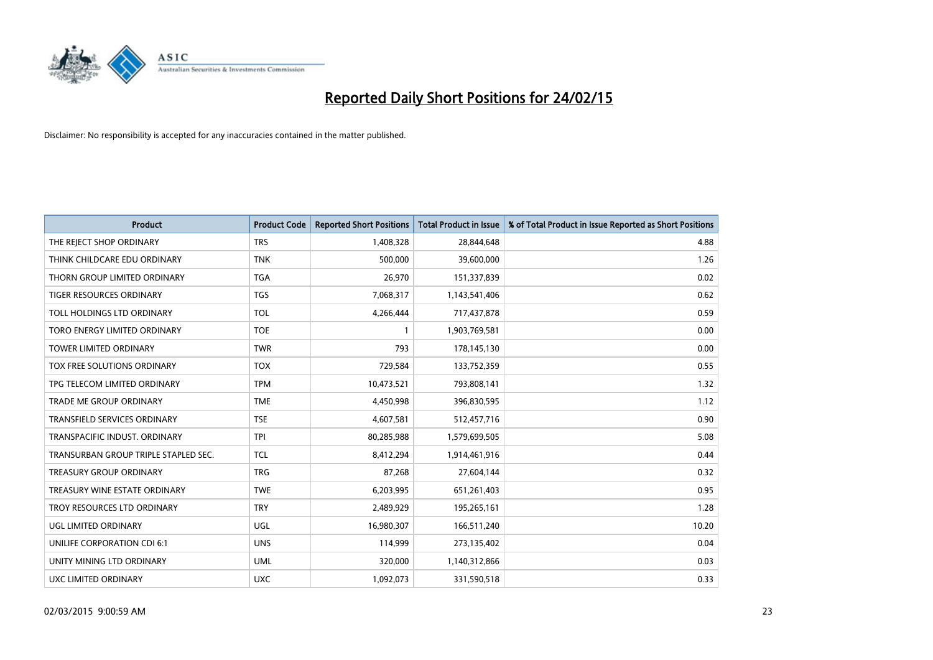

| <b>Product</b>                       | <b>Product Code</b> | <b>Reported Short Positions</b> | <b>Total Product in Issue</b> | % of Total Product in Issue Reported as Short Positions |
|--------------------------------------|---------------------|---------------------------------|-------------------------------|---------------------------------------------------------|
| THE REJECT SHOP ORDINARY             | <b>TRS</b>          | 1,408,328                       | 28,844,648                    | 4.88                                                    |
| THINK CHILDCARE EDU ORDINARY         | <b>TNK</b>          | 500,000                         | 39,600,000                    | 1.26                                                    |
| THORN GROUP LIMITED ORDINARY         | <b>TGA</b>          | 26,970                          | 151,337,839                   | 0.02                                                    |
| <b>TIGER RESOURCES ORDINARY</b>      | <b>TGS</b>          | 7,068,317                       | 1,143,541,406                 | 0.62                                                    |
| TOLL HOLDINGS LTD ORDINARY           | <b>TOL</b>          | 4,266,444                       | 717,437,878                   | 0.59                                                    |
| <b>TORO ENERGY LIMITED ORDINARY</b>  | <b>TOE</b>          | $\mathbf{1}$                    | 1,903,769,581                 | 0.00                                                    |
| TOWER LIMITED ORDINARY               | <b>TWR</b>          | 793                             | 178,145,130                   | 0.00                                                    |
| TOX FREE SOLUTIONS ORDINARY          | <b>TOX</b>          | 729,584                         | 133,752,359                   | 0.55                                                    |
| TPG TELECOM LIMITED ORDINARY         | <b>TPM</b>          | 10,473,521                      | 793,808,141                   | 1.32                                                    |
| <b>TRADE ME GROUP ORDINARY</b>       | <b>TME</b>          | 4,450,998                       | 396,830,595                   | 1.12                                                    |
| TRANSFIELD SERVICES ORDINARY         | <b>TSE</b>          | 4,607,581                       | 512,457,716                   | 0.90                                                    |
| TRANSPACIFIC INDUST, ORDINARY        | <b>TPI</b>          | 80,285,988                      | 1,579,699,505                 | 5.08                                                    |
| TRANSURBAN GROUP TRIPLE STAPLED SEC. | <b>TCL</b>          | 8,412,294                       | 1,914,461,916                 | 0.44                                                    |
| <b>TREASURY GROUP ORDINARY</b>       | <b>TRG</b>          | 87,268                          | 27,604,144                    | 0.32                                                    |
| TREASURY WINE ESTATE ORDINARY        | <b>TWE</b>          | 6,203,995                       | 651,261,403                   | 0.95                                                    |
| TROY RESOURCES LTD ORDINARY          | <b>TRY</b>          | 2,489,929                       | 195,265,161                   | 1.28                                                    |
| UGL LIMITED ORDINARY                 | UGL                 | 16,980,307                      | 166,511,240                   | 10.20                                                   |
| UNILIFE CORPORATION CDI 6:1          | <b>UNS</b>          | 114,999                         | 273,135,402                   | 0.04                                                    |
| UNITY MINING LTD ORDINARY            | <b>UML</b>          | 320,000                         | 1,140,312,866                 | 0.03                                                    |
| UXC LIMITED ORDINARY                 | <b>UXC</b>          | 1,092,073                       | 331,590,518                   | 0.33                                                    |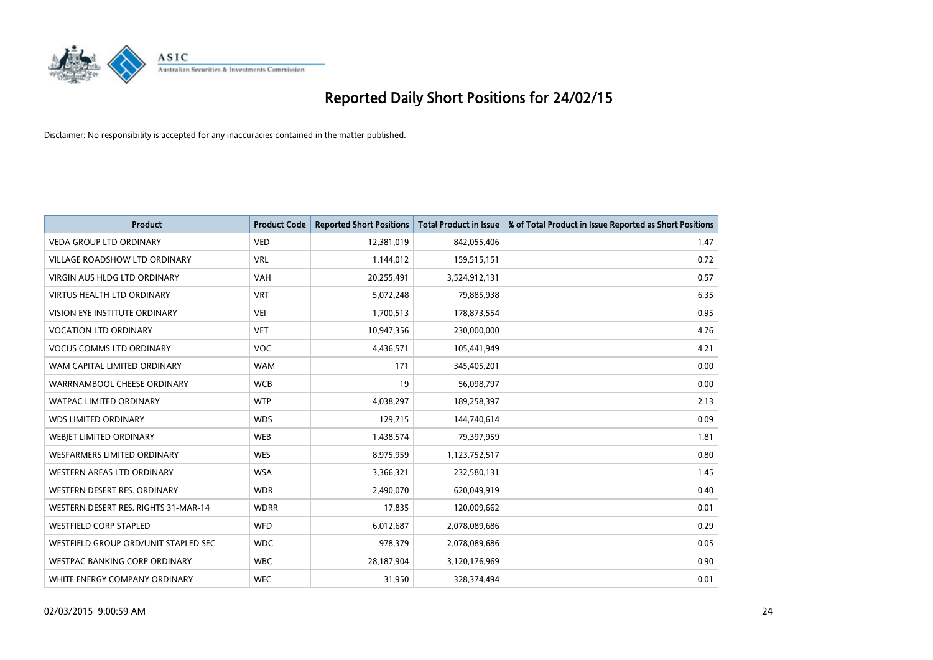

| <b>Product</b>                       | <b>Product Code</b> | <b>Reported Short Positions</b> | <b>Total Product in Issue</b> | % of Total Product in Issue Reported as Short Positions |
|--------------------------------------|---------------------|---------------------------------|-------------------------------|---------------------------------------------------------|
| <b>VEDA GROUP LTD ORDINARY</b>       | <b>VED</b>          | 12,381,019                      | 842,055,406                   | 1.47                                                    |
| <b>VILLAGE ROADSHOW LTD ORDINARY</b> | <b>VRL</b>          | 1,144,012                       | 159,515,151                   | 0.72                                                    |
| <b>VIRGIN AUS HLDG LTD ORDINARY</b>  | <b>VAH</b>          | 20,255,491                      | 3,524,912,131                 | 0.57                                                    |
| <b>VIRTUS HEALTH LTD ORDINARY</b>    | <b>VRT</b>          | 5,072,248                       | 79,885,938                    | 6.35                                                    |
| <b>VISION EYE INSTITUTE ORDINARY</b> | <b>VEI</b>          | 1,700,513                       | 178,873,554                   | 0.95                                                    |
| <b>VOCATION LTD ORDINARY</b>         | <b>VET</b>          | 10,947,356                      | 230,000,000                   | 4.76                                                    |
| <b>VOCUS COMMS LTD ORDINARY</b>      | VOC                 | 4,436,571                       | 105,441,949                   | 4.21                                                    |
| WAM CAPITAL LIMITED ORDINARY         | <b>WAM</b>          | 171                             | 345,405,201                   | 0.00                                                    |
| WARRNAMBOOL CHEESE ORDINARY          | <b>WCB</b>          | 19                              | 56,098,797                    | 0.00                                                    |
| <b>WATPAC LIMITED ORDINARY</b>       | <b>WTP</b>          | 4,038,297                       | 189,258,397                   | 2.13                                                    |
| <b>WDS LIMITED ORDINARY</b>          | <b>WDS</b>          | 129,715                         | 144,740,614                   | 0.09                                                    |
| WEBIET LIMITED ORDINARY              | <b>WEB</b>          | 1,438,574                       | 79,397,959                    | 1.81                                                    |
| <b>WESFARMERS LIMITED ORDINARY</b>   | <b>WES</b>          | 8,975,959                       | 1,123,752,517                 | 0.80                                                    |
| <b>WESTERN AREAS LTD ORDINARY</b>    | <b>WSA</b>          | 3,366,321                       | 232,580,131                   | 1.45                                                    |
| WESTERN DESERT RES. ORDINARY         | <b>WDR</b>          | 2,490,070                       | 620,049,919                   | 0.40                                                    |
| WESTERN DESERT RES. RIGHTS 31-MAR-14 | <b>WDRR</b>         | 17,835                          | 120,009,662                   | 0.01                                                    |
| <b>WESTFIELD CORP STAPLED</b>        | <b>WFD</b>          | 6,012,687                       | 2,078,089,686                 | 0.29                                                    |
| WESTFIELD GROUP ORD/UNIT STAPLED SEC | <b>WDC</b>          | 978,379                         | 2,078,089,686                 | 0.05                                                    |
| WESTPAC BANKING CORP ORDINARY        | <b>WBC</b>          | 28,187,904                      | 3,120,176,969                 | 0.90                                                    |
| WHITE ENERGY COMPANY ORDINARY        | <b>WEC</b>          | 31,950                          | 328,374,494                   | 0.01                                                    |